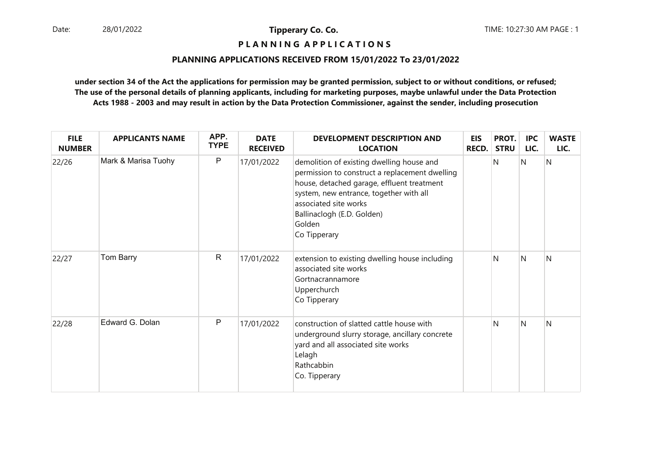### **P L A N N I N G A P P L I C A T I O N S**

#### **PLANNING APPLICATIONS RECEIVED FROM 15/01/2022 To 23/01/2022**

| <b>FILE</b><br><b>NUMBER</b> | <b>APPLICANTS NAME</b> | APP.<br><b>TYPE</b> | <b>DATE</b><br><b>RECEIVED</b> | <b>DEVELOPMENT DESCRIPTION AND</b><br><b>LOCATION</b>                                                                                                                                                                                                                 | <b>EIS</b><br><b>RECD.</b> | PROT.<br><b>STRU</b> | <b>IPC</b><br>LIC. | <b>WASTE</b><br>LIC. |
|------------------------------|------------------------|---------------------|--------------------------------|-----------------------------------------------------------------------------------------------------------------------------------------------------------------------------------------------------------------------------------------------------------------------|----------------------------|----------------------|--------------------|----------------------|
| 22/26                        | Mark & Marisa Tuohy    | P                   | 17/01/2022                     | demolition of existing dwelling house and<br>permission to construct a replacement dwelling<br>house, detached garage, effluent treatment<br>system, new entrance, together with all<br>associated site works<br>Ballinaclogh (E.D. Golden)<br>Golden<br>Co Tipperary |                            | N                    | N                  | N                    |
| 22/27                        | Tom Barry              | $\mathsf{R}$        | 17/01/2022                     | extension to existing dwelling house including<br>associated site works<br>Gortnacrannamore<br>Upperchurch<br>Co Tipperary                                                                                                                                            |                            | N                    | <sup>N</sup>       | N                    |
| 22/28                        | Edward G. Dolan        | P                   | 17/01/2022                     | construction of slatted cattle house with<br>underground slurry storage, ancillary concrete<br>yard and all associated site works<br>Lelagh<br>Rathcabbin<br>Co. Tipperary                                                                                            |                            | N                    | N                  | N                    |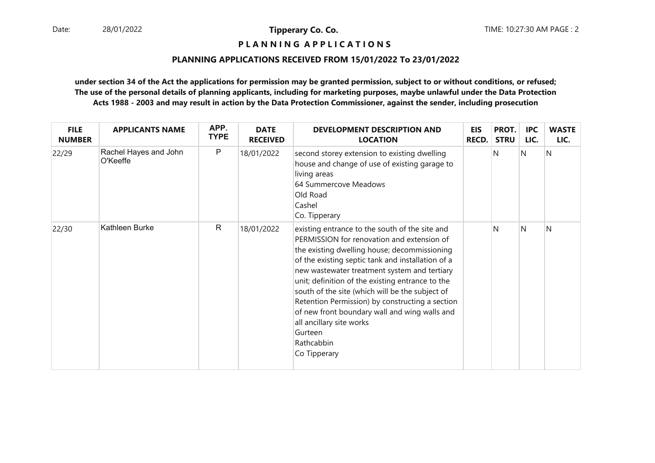**P L A N N I N G A P P L I C A T I O N S** 

#### **PLANNING APPLICATIONS RECEIVED FROM 15/01/2022 To 23/01/2022**

| <b>FILE</b><br><b>NUMBER</b> | <b>APPLICANTS NAME</b>            | APP.<br><b>TYPE</b> | <b>DATE</b><br><b>RECEIVED</b> | <b>DEVELOPMENT DESCRIPTION AND</b><br><b>LOCATION</b>                                                                                                                                                                                                                                                                                                                                                                                                                                                                             | <b>EIS</b><br><b>RECD.</b> | PROT.<br><b>STRU</b> | <b>IPC</b><br>LIC. | <b>WASTE</b><br>LIC. |
|------------------------------|-----------------------------------|---------------------|--------------------------------|-----------------------------------------------------------------------------------------------------------------------------------------------------------------------------------------------------------------------------------------------------------------------------------------------------------------------------------------------------------------------------------------------------------------------------------------------------------------------------------------------------------------------------------|----------------------------|----------------------|--------------------|----------------------|
| 22/29                        | Rachel Hayes and John<br>O'Keeffe | P                   | 18/01/2022                     | second storey extension to existing dwelling<br>house and change of use of existing garage to<br>living areas<br>64 Summercove Meadows<br>Old Road<br>Cashel<br>Co. Tipperary                                                                                                                                                                                                                                                                                                                                                     |                            | N                    | N                  | N                    |
| 22/30                        | Kathleen Burke                    | $\mathsf{R}$        | 18/01/2022                     | existing entrance to the south of the site and<br>PERMISSION for renovation and extension of<br>the existing dwelling house; decommissioning<br>of the existing septic tank and installation of a<br>new wastewater treatment system and tertiary<br>unit; definition of the existing entrance to the<br>south of the site (which will be the subject of<br>Retention Permission) by constructing a section<br>of new front boundary wall and wing walls and<br>all ancillary site works<br>Gurteen<br>Rathcabbin<br>Co Tipperary |                            | N                    | N                  | N                    |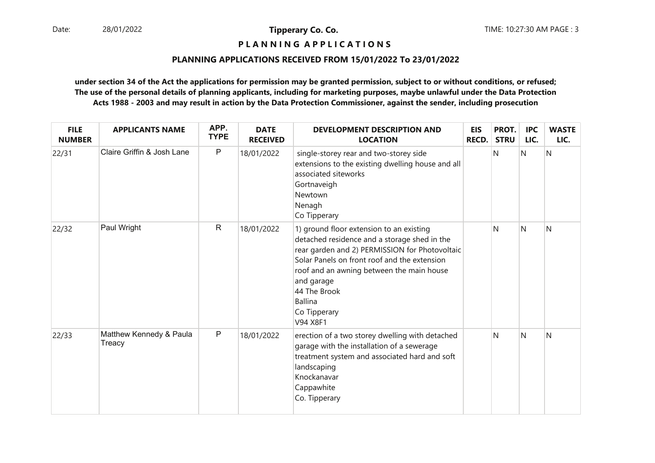**P L A N N I N G A P P L I C A T I O N S** 

#### **PLANNING APPLICATIONS RECEIVED FROM 15/01/2022 To 23/01/2022**

| <b>FILE</b><br><b>NUMBER</b> | <b>APPLICANTS NAME</b>            | APP.<br><b>TYPE</b> | <b>DATE</b><br><b>RECEIVED</b> | <b>DEVELOPMENT DESCRIPTION AND</b><br><b>LOCATION</b>                                                                                                                                                                                                                                                               | <b>EIS</b><br><b>RECD.</b> | PROT.<br><b>STRU</b> | <b>IPC</b><br>LIC. | <b>WASTE</b><br>LIC. |
|------------------------------|-----------------------------------|---------------------|--------------------------------|---------------------------------------------------------------------------------------------------------------------------------------------------------------------------------------------------------------------------------------------------------------------------------------------------------------------|----------------------------|----------------------|--------------------|----------------------|
| 22/31                        | Claire Griffin & Josh Lane        | P                   | 18/01/2022                     | single-storey rear and two-storey side<br>extensions to the existing dwelling house and all<br>associated siteworks<br>Gortnaveigh<br>Newtown<br>Nenagh<br>Co Tipperary                                                                                                                                             |                            | N                    | N                  | Ν                    |
| 22/32                        | Paul Wright                       | $\mathsf R$         | 18/01/2022                     | 1) ground floor extension to an existing<br>detached residence and a storage shed in the<br>rear garden and 2) PERMISSION for Photovoltaic<br>Solar Panels on front roof and the extension<br>roof and an awning between the main house<br>and garage<br>44 The Brook<br><b>Ballina</b><br>Co Tipperary<br>V94 X8F1 |                            | N                    | N                  | N                    |
| 22/33                        | Matthew Kennedy & Paula<br>Treacy | P                   | 18/01/2022                     | erection of a two storey dwelling with detached<br>garage with the installation of a sewerage<br>treatment system and associated hard and soft<br>landscaping<br>Knockanavar<br>Cappawhite<br>Co. Tipperary                                                                                                         |                            | N                    | N                  | N                    |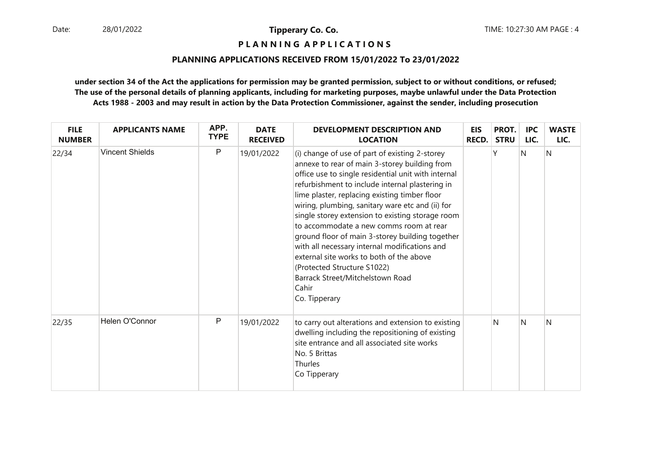**P L A N N I N G A P P L I C A T I O N S** 

#### **PLANNING APPLICATIONS RECEIVED FROM 15/01/2022 To 23/01/2022**

| <b>FILE</b><br><b>NUMBER</b> | <b>APPLICANTS NAME</b> | APP.<br><b>TYPE</b> | <b>DATE</b><br><b>RECEIVED</b> | <b>DEVELOPMENT DESCRIPTION AND</b><br><b>LOCATION</b>                                                                                                                                                                                                                                                                                                                                                                                                                                                                                                                                                                                                      | <b>EIS</b><br><b>RECD.</b> | PROT.<br><b>STRU</b> | <b>IPC</b><br>LIC. | <b>WASTE</b><br>LIC. |
|------------------------------|------------------------|---------------------|--------------------------------|------------------------------------------------------------------------------------------------------------------------------------------------------------------------------------------------------------------------------------------------------------------------------------------------------------------------------------------------------------------------------------------------------------------------------------------------------------------------------------------------------------------------------------------------------------------------------------------------------------------------------------------------------------|----------------------------|----------------------|--------------------|----------------------|
| 22/34                        | <b>Vincent Shields</b> | P                   | 19/01/2022                     | (i) change of use of part of existing 2-storey<br>annexe to rear of main 3-storey building from<br>office use to single residential unit with internal<br>refurbishment to include internal plastering in<br>lime plaster, replacing existing timber floor<br>wiring, plumbing, sanitary ware etc and (ii) for<br>single storey extension to existing storage room<br>to accommodate a new comms room at rear<br>ground floor of main 3-storey building together<br>with all necessary internal modifications and<br>external site works to both of the above<br>(Protected Structure S1022)<br>Barrack Street/Mitchelstown Road<br>Cahir<br>Co. Tipperary |                            |                      | N                  | N                    |
| 22/35                        | Helen O'Connor         | P                   | 19/01/2022                     | to carry out alterations and extension to existing<br>dwelling including the repositioning of existing<br>site entrance and all associated site works<br>No. 5 Brittas<br>Thurles<br>Co Tipperary                                                                                                                                                                                                                                                                                                                                                                                                                                                          |                            | N                    | N                  | N                    |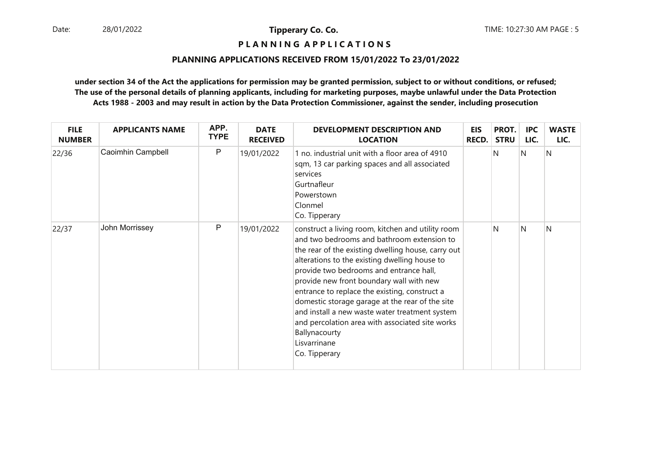**P L A N N I N G A P P L I C A T I O N S** 

#### **PLANNING APPLICATIONS RECEIVED FROM 15/01/2022 To 23/01/2022**

| <b>FILE</b><br><b>NUMBER</b> | <b>APPLICANTS NAME</b> | APP.<br><b>TYPE</b> | <b>DATE</b><br><b>RECEIVED</b> | DEVELOPMENT DESCRIPTION AND<br><b>LOCATION</b>                                                                                                                                                                                                                                                                                                                                                                                                                                                                                                           | <b>EIS</b><br><b>RECD.</b> | PROT.<br><b>STRU</b> | <b>IPC</b><br>LIC. | <b>WASTE</b><br>LIC. |
|------------------------------|------------------------|---------------------|--------------------------------|----------------------------------------------------------------------------------------------------------------------------------------------------------------------------------------------------------------------------------------------------------------------------------------------------------------------------------------------------------------------------------------------------------------------------------------------------------------------------------------------------------------------------------------------------------|----------------------------|----------------------|--------------------|----------------------|
| 22/36                        | Caoimhin Campbell      | P                   | 19/01/2022                     | 1 no. industrial unit with a floor area of 4910<br>sqm, 13 car parking spaces and all associated<br>services<br>Gurtnafleur<br>Powerstown<br>Clonmel<br>Co. Tipperary                                                                                                                                                                                                                                                                                                                                                                                    |                            | N                    | N                  | N                    |
| 22/37                        | John Morrissey         | P                   | 19/01/2022                     | construct a living room, kitchen and utility room<br>and two bedrooms and bathroom extension to<br>the rear of the existing dwelling house, carry out<br>alterations to the existing dwelling house to<br>provide two bedrooms and entrance hall,<br>provide new front boundary wall with new<br>entrance to replace the existing, construct a<br>domestic storage garage at the rear of the site<br>and install a new waste water treatment system<br>and percolation area with associated site works<br>Ballynacourty<br>Lisvarrinane<br>Co. Tipperary |                            | N                    | N                  | N                    |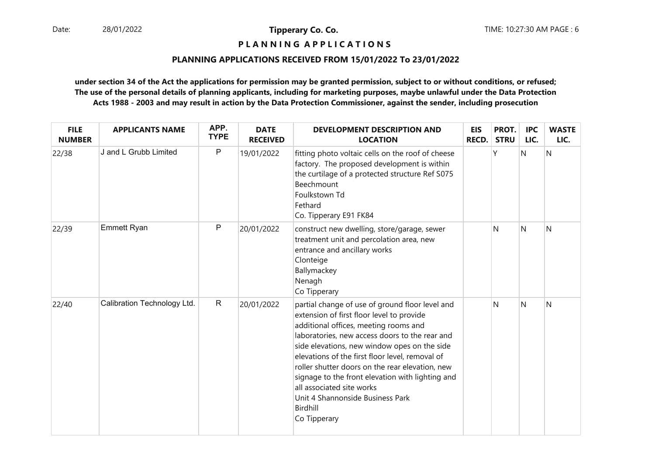### **P L A N N I N G A P P L I C A T I O N S**

#### **PLANNING APPLICATIONS RECEIVED FROM 15/01/2022 To 23/01/2022**

| <b>FILE</b><br><b>NUMBER</b> | <b>APPLICANTS NAME</b>      | APP.<br><b>TYPE</b> | <b>DATE</b><br><b>RECEIVED</b> | <b>DEVELOPMENT DESCRIPTION AND</b><br><b>LOCATION</b>                                                                                                                                                                                                                                                                                                                                                                                                                                          | <b>EIS</b><br><b>RECD.</b> | PROT.<br><b>STRU</b> | <b>IPC</b><br>LIC. | <b>WASTE</b><br>LIC. |
|------------------------------|-----------------------------|---------------------|--------------------------------|------------------------------------------------------------------------------------------------------------------------------------------------------------------------------------------------------------------------------------------------------------------------------------------------------------------------------------------------------------------------------------------------------------------------------------------------------------------------------------------------|----------------------------|----------------------|--------------------|----------------------|
| 22/38                        | J and L Grubb Limited       | P                   | 19/01/2022                     | fitting photo voltaic cells on the roof of cheese<br>factory. The proposed development is within<br>the curtilage of a protected structure Ref S075<br><b>Beechmount</b><br>Foulkstown Td<br>Fethard<br>Co. Tipperary E91 FK84                                                                                                                                                                                                                                                                 |                            |                      | N                  | N                    |
| 22/39                        | <b>Emmett Ryan</b>          | P                   | 20/01/2022                     | construct new dwelling, store/garage, sewer<br>treatment unit and percolation area, new<br>entrance and ancillary works<br>Clonteige<br>Ballymackey<br>Nenagh<br>Co Tipperary                                                                                                                                                                                                                                                                                                                  |                            | N                    | <sup>N</sup>       | N                    |
| 22/40                        | Calibration Technology Ltd. | $\mathsf{R}$        | 20/01/2022                     | partial change of use of ground floor level and<br>extension of first floor level to provide<br>additional offices, meeting rooms and<br>laboratories, new access doors to the rear and<br>side elevations, new window opes on the side<br>elevations of the first floor level, removal of<br>roller shutter doors on the rear elevation, new<br>signage to the front elevation with lighting and<br>all associated site works<br>Unit 4 Shannonside Business Park<br>Birdhill<br>Co Tipperary |                            | N                    | N                  | N                    |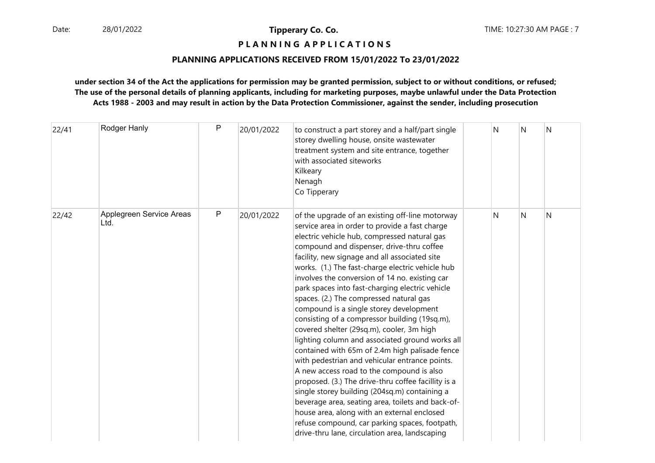### **P L A N N I N G A P P L I C A T I O N S**

#### **PLANNING APPLICATIONS RECEIVED FROM 15/01/2022 To 23/01/2022**

| 22/41 | Rodger Hanly                     | P | 20/01/2022 | to construct a part storey and a half/part single<br>storey dwelling house, onsite wastewater<br>treatment system and site entrance, together<br>with associated siteworks<br>Kilkeary<br>Nenagh<br>Co Tipperary                                                                                                                                                                                                                                                                                                                                                                                                                                                                                                                                                                                                                                                                                                                                                                                                                                                                                                 | N | N | N |
|-------|----------------------------------|---|------------|------------------------------------------------------------------------------------------------------------------------------------------------------------------------------------------------------------------------------------------------------------------------------------------------------------------------------------------------------------------------------------------------------------------------------------------------------------------------------------------------------------------------------------------------------------------------------------------------------------------------------------------------------------------------------------------------------------------------------------------------------------------------------------------------------------------------------------------------------------------------------------------------------------------------------------------------------------------------------------------------------------------------------------------------------------------------------------------------------------------|---|---|---|
| 22/42 | Applegreen Service Areas<br>Ltd. | P | 20/01/2022 | of the upgrade of an existing off-line motorway<br>service area in order to provide a fast charge<br>electric vehicle hub, compressed natural gas<br>compound and dispenser, drive-thru coffee<br>facility, new signage and all associated site<br>works. (1.) The fast-charge electric vehicle hub<br>involves the conversion of 14 no. existing car<br>park spaces into fast-charging electric vehicle<br>spaces. (2.) The compressed natural gas<br>compound is a single storey development<br>consisting of a compressor building (19sq.m),<br>covered shelter (29sq.m), cooler, 3m high<br>lighting column and associated ground works all<br>contained with 65m of 2.4m high palisade fence<br>with pedestrian and vehicular entrance points.<br>A new access road to the compound is also<br>proposed. (3.) The drive-thru coffee facillity is a<br>single storey building (204sq.m) containing a<br>beverage area, seating area, toilets and back-of-<br>house area, along with an external enclosed<br>refuse compound, car parking spaces, footpath,<br>drive-thru lane, circulation area, landscaping | N | N | N |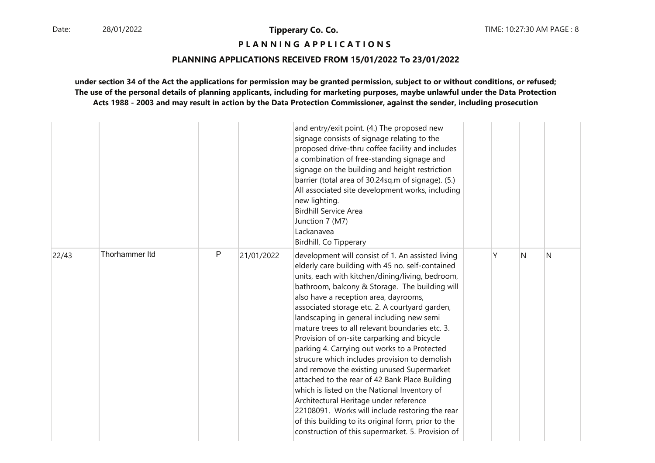### **P L A N N I N G A P P L I C A T I O N S**

#### **PLANNING APPLICATIONS RECEIVED FROM 15/01/2022 To 23/01/2022**

|       |                |   |            | and entry/exit point. (4.) The proposed new<br>signage consists of signage relating to the<br>proposed drive-thru coffee facility and includes<br>a combination of free-standing signage and<br>signage on the building and height restriction<br>barrier (total area of 30.24sq.m of signage). (5.)<br>All associated site development works, including<br>new lighting.<br><b>Birdhill Service Area</b><br>Junction 7 (M7)<br>Lackanavea<br>Birdhill, Co Tipperary                                                                                                                                                                                                                                                                                                                                                                                                                                            |   |              |   |
|-------|----------------|---|------------|-----------------------------------------------------------------------------------------------------------------------------------------------------------------------------------------------------------------------------------------------------------------------------------------------------------------------------------------------------------------------------------------------------------------------------------------------------------------------------------------------------------------------------------------------------------------------------------------------------------------------------------------------------------------------------------------------------------------------------------------------------------------------------------------------------------------------------------------------------------------------------------------------------------------|---|--------------|---|
| 22/43 | Thorhammer Itd | P | 21/01/2022 | development will consist of 1. An assisted living<br>elderly care building with 45 no. self-contained<br>units, each with kitchen/dining/living, bedroom,<br>bathroom, balcony & Storage. The building will<br>also have a reception area, dayrooms,<br>associated storage etc. 2. A courtyard garden,<br>landscaping in general including new semi<br>mature trees to all relevant boundaries etc. 3.<br>Provision of on-site carparking and bicycle<br>parking 4. Carrying out works to a Protected<br>strucure which includes provision to demolish<br>and remove the existing unused Supermarket<br>attached to the rear of 42 Bank Place Building<br>which is listed on the National Inventory of<br>Architectural Heritage under reference<br>22108091. Works will include restoring the rear<br>of this building to its original form, prior to the<br>construction of this supermarket. 5. Provision of | ٧ | <sup>N</sup> | N |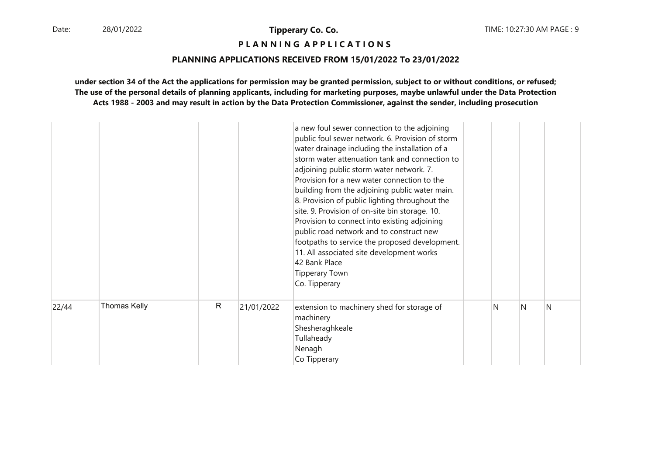**P L A N N I N G A P P L I C A T I O N S** 

#### **PLANNING APPLICATIONS RECEIVED FROM 15/01/2022 To 23/01/2022**

|       |                     |              |            | a new foul sewer connection to the adjoining<br>public foul sewer network. 6. Provision of storm<br>water drainage including the installation of a<br>storm water attenuation tank and connection to<br>adjoining public storm water network. 7.<br>Provision for a new water connection to the<br>building from the adjoining public water main.<br>8. Provision of public lighting throughout the<br>site. 9. Provision of on-site bin storage. 10.<br>Provision to connect into existing adjoining<br>public road network and to construct new<br>footpaths to service the proposed development.<br>11. All associated site development works<br>42 Bank Place<br><b>Tipperary Town</b><br>Co. Tipperary |   |   |   |
|-------|---------------------|--------------|------------|-------------------------------------------------------------------------------------------------------------------------------------------------------------------------------------------------------------------------------------------------------------------------------------------------------------------------------------------------------------------------------------------------------------------------------------------------------------------------------------------------------------------------------------------------------------------------------------------------------------------------------------------------------------------------------------------------------------|---|---|---|
| 22/44 | <b>Thomas Kelly</b> | $\mathsf{R}$ | 21/01/2022 | extension to machinery shed for storage of<br>machinery<br>Shesheraghkeale<br>Tullaheady<br>Nenagh<br>Co Tipperary                                                                                                                                                                                                                                                                                                                                                                                                                                                                                                                                                                                          | N | N | N |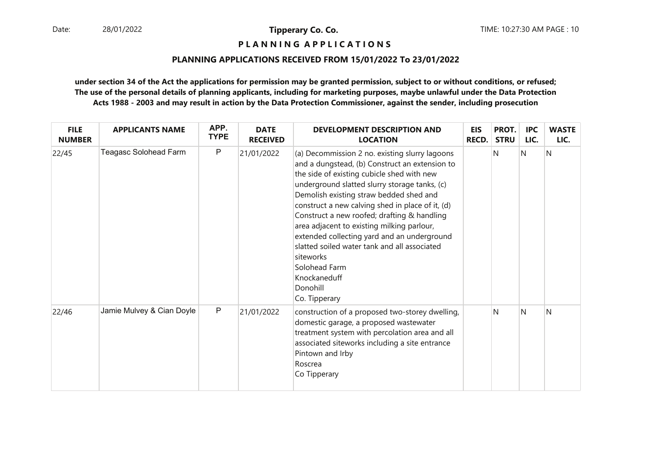### **P L A N N I N G A P P L I C A T I O N S**

#### **PLANNING APPLICATIONS RECEIVED FROM 15/01/2022 To 23/01/2022**

| <b>FILE</b><br><b>NUMBER</b> | <b>APPLICANTS NAME</b>    | APP.<br><b>TYPE</b> | <b>DATE</b><br><b>RECEIVED</b> | <b>DEVELOPMENT DESCRIPTION AND</b><br><b>LOCATION</b>                                                                                                                                                                                                                                                                                                                                                                                                                                                                                                                 | <b>EIS</b><br><b>RECD.</b> | PROT.<br><b>STRU</b> | <b>IPC</b><br>LIC. | <b>WASTE</b><br>LIC. |
|------------------------------|---------------------------|---------------------|--------------------------------|-----------------------------------------------------------------------------------------------------------------------------------------------------------------------------------------------------------------------------------------------------------------------------------------------------------------------------------------------------------------------------------------------------------------------------------------------------------------------------------------------------------------------------------------------------------------------|----------------------------|----------------------|--------------------|----------------------|
| 22/45                        | Teagasc Solohead Farm     | P                   | 21/01/2022                     | (a) Decommission 2 no. existing slurry lagoons<br>and a dungstead, (b) Construct an extension to<br>the side of existing cubicle shed with new<br>underground slatted slurry storage tanks, (c)<br>Demolish existing straw bedded shed and<br>construct a new calving shed in place of it, (d)<br>Construct a new roofed; drafting & handling<br>area adjacent to existing milking parlour,<br>extended collecting yard and an underground<br>slatted soiled water tank and all associated<br>siteworks<br>Solohead Farm<br>Knockaneduff<br>Donohill<br>Co. Tipperary |                            | N                    | N                  | N                    |
| 22/46                        | Jamie Mulvey & Cian Doyle | $\mathsf P$         | 21/01/2022                     | construction of a proposed two-storey dwelling,<br>domestic garage, a proposed wastewater<br>treatment system with percolation area and all<br>associated siteworks including a site entrance<br>Pintown and Irby<br>Roscrea<br>Co Tipperary                                                                                                                                                                                                                                                                                                                          |                            | N                    | N                  | N                    |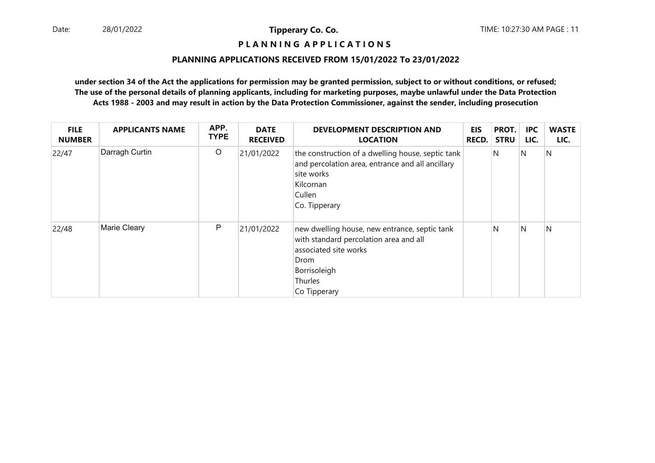### **P L A N N I N G A P P L I C A T I O N S**

#### **PLANNING APPLICATIONS RECEIVED FROM 15/01/2022 To 23/01/2022**

| <b>FILE</b><br><b>NUMBER</b> | <b>APPLICANTS NAME</b> | APP.<br><b>TYPE</b> | <b>DATE</b><br><b>RECEIVED</b> | <b>DEVELOPMENT DESCRIPTION AND</b><br><b>LOCATION</b>                                                                                                               | <b>EIS</b><br>RECD. | PROT.<br><b>STRU</b> | <b>IPC</b><br>LIC. | <b>WASTE</b><br>LIC. |
|------------------------------|------------------------|---------------------|--------------------------------|---------------------------------------------------------------------------------------------------------------------------------------------------------------------|---------------------|----------------------|--------------------|----------------------|
| 22/47                        | Darragh Curtin         | $\circ$             | 21/01/2022                     | the construction of a dwelling house, septic tank<br>and percolation area, entrance and all ancillary<br>site works<br>Kilcornan<br>Cullen<br>Co. Tipperary         |                     | N                    | N                  | N                    |
| 22/48                        | Marie Cleary           | P                   | 21/01/2022                     | new dwelling house, new entrance, septic tank<br>with standard percolation area and all<br>associated site works<br>Drom<br>Borrisoleigh<br>Thurles<br>Co Tipperary |                     | N                    | N                  | N                    |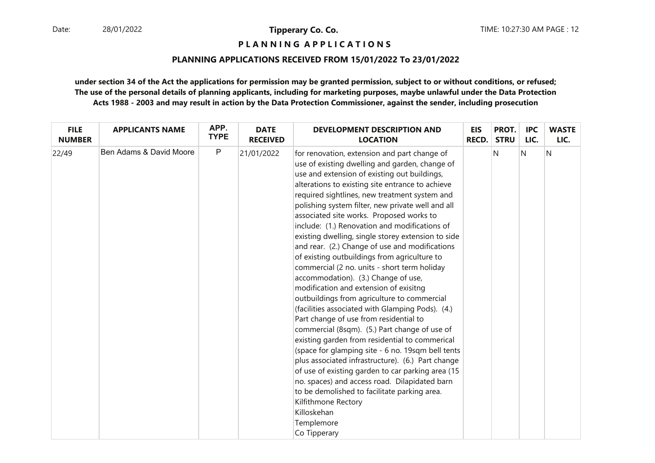### **P L A N N I N G A P P L I C A T I O N S**

#### **PLANNING APPLICATIONS RECEIVED FROM 15/01/2022 To 23/01/2022**

| <b>FILE</b>   | <b>APPLICANTS NAME</b>  | APP.        | <b>DATE</b>     | DEVELOPMENT DESCRIPTION AND                                                                                                                                                                                                                                                                                                                                                                                                                                                                                                                                                                                                                                                                                                                                                                                                                                                                                                                                                                                                                                                                                                                                                                                                                                                        | <b>EIS</b>   | PROT.       | <b>IPC</b> | <b>WASTE</b> |
|---------------|-------------------------|-------------|-----------------|------------------------------------------------------------------------------------------------------------------------------------------------------------------------------------------------------------------------------------------------------------------------------------------------------------------------------------------------------------------------------------------------------------------------------------------------------------------------------------------------------------------------------------------------------------------------------------------------------------------------------------------------------------------------------------------------------------------------------------------------------------------------------------------------------------------------------------------------------------------------------------------------------------------------------------------------------------------------------------------------------------------------------------------------------------------------------------------------------------------------------------------------------------------------------------------------------------------------------------------------------------------------------------|--------------|-------------|------------|--------------|
| <b>NUMBER</b> |                         | <b>TYPE</b> | <b>RECEIVED</b> | <b>LOCATION</b>                                                                                                                                                                                                                                                                                                                                                                                                                                                                                                                                                                                                                                                                                                                                                                                                                                                                                                                                                                                                                                                                                                                                                                                                                                                                    | <b>RECD.</b> | <b>STRU</b> | LIC.       | LIC.         |
| 22/49         | Ben Adams & David Moore | P           | 21/01/2022      | for renovation, extension and part change of<br>use of existing dwelling and garden, change of<br>use and extension of existing out buildings,<br>alterations to existing site entrance to achieve<br>required sightlines, new treatment system and<br>polishing system filter, new private well and all<br>associated site works. Proposed works to<br>include: (1.) Renovation and modifications of<br>existing dwelling, single storey extension to side<br>and rear. (2.) Change of use and modifications<br>of existing outbuildings from agriculture to<br>commercial (2 no. units - short term holiday<br>accommodation). (3.) Change of use,<br>modification and extension of exisitng<br>outbuildings from agriculture to commercial<br>(facilities associated with Glamping Pods). (4.)<br>Part change of use from residential to<br>commercial (8sqm). (5.) Part change of use of<br>existing garden from residential to commerical<br>(space for glamping site - 6 no. 19sqm bell tents<br>plus associated infrastructure). (6.) Part change<br>of use of existing garden to car parking area (15<br>no. spaces) and access road. Dilapidated barn<br>to be demolished to facilitate parking area.<br>Kilfithmone Rectory<br>Killoskehan<br>Templemore<br>Co Tipperary |              | N           | N          | N            |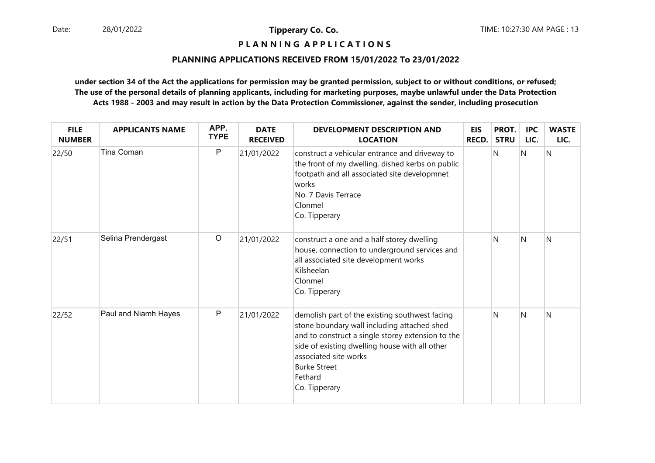### **P L A N N I N G A P P L I C A T I O N S**

#### **PLANNING APPLICATIONS RECEIVED FROM 15/01/2022 To 23/01/2022**

| <b>FILE</b><br><b>NUMBER</b> | <b>APPLICANTS NAME</b> | APP.<br><b>TYPE</b> | <b>DATE</b><br><b>RECEIVED</b> | <b>DEVELOPMENT DESCRIPTION AND</b><br><b>LOCATION</b>                                                                                                                                                                                                                            | <b>EIS</b><br>RECD. | PROT.<br><b>STRU</b> | <b>IPC</b><br>LIC. | <b>WASTE</b><br>LIC. |
|------------------------------|------------------------|---------------------|--------------------------------|----------------------------------------------------------------------------------------------------------------------------------------------------------------------------------------------------------------------------------------------------------------------------------|---------------------|----------------------|--------------------|----------------------|
| 22/50                        | <b>Tina Coman</b>      | P                   | 21/01/2022                     | construct a vehicular entrance and driveway to<br>the front of my dwelling, dished kerbs on public<br>footpath and all associated site developmnet<br>works<br>No. 7 Davis Terrace<br>Clonmel<br>Co. Tipperary                                                                   |                     | N                    | N                  | N                    |
| 22/51                        | Selina Prendergast     | $\circ$             | 21/01/2022                     | construct a one and a half storey dwelling<br>house, connection to underground services and<br>all associated site development works<br>Kilsheelan<br>Clonmel<br>Co. Tipperary                                                                                                   |                     | N                    | N                  | N                    |
| 22/52                        | Paul and Niamh Hayes   | P                   | 21/01/2022                     | demolish part of the existing southwest facing<br>stone boundary wall including attached shed<br>and to construct a single storey extension to the<br>side of existing dwelling house with all other<br>associated site works<br><b>Burke Street</b><br>Fethard<br>Co. Tipperary |                     | N                    | N                  | N                    |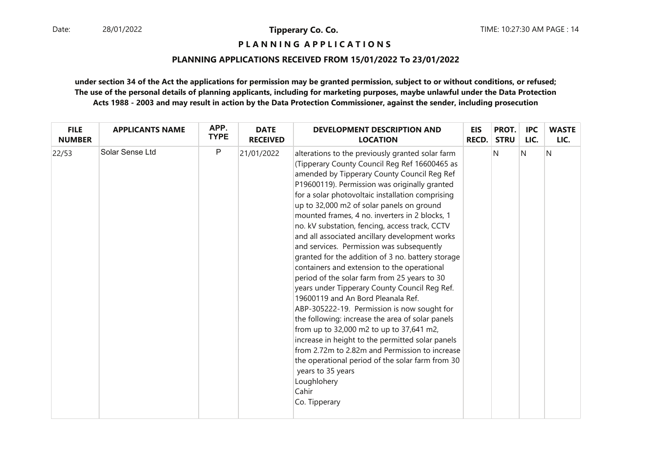### **P L A N N I N G A P P L I C A T I O N S**

#### **PLANNING APPLICATIONS RECEIVED FROM 15/01/2022 To 23/01/2022**

| <b>FILE</b>   | <b>APPLICANTS NAME</b> | APP.        | <b>DATE</b>     | <b>DEVELOPMENT DESCRIPTION AND</b>                                                                                                                                                                                                                                                                                                                                                                                                                                                                                                                                                                                                                                                                                                                                                                                                                                                                                                                                                                                                                                                                                      | EIS          | PROT.       | <b>IPC</b> | <b>WASTE</b> |
|---------------|------------------------|-------------|-----------------|-------------------------------------------------------------------------------------------------------------------------------------------------------------------------------------------------------------------------------------------------------------------------------------------------------------------------------------------------------------------------------------------------------------------------------------------------------------------------------------------------------------------------------------------------------------------------------------------------------------------------------------------------------------------------------------------------------------------------------------------------------------------------------------------------------------------------------------------------------------------------------------------------------------------------------------------------------------------------------------------------------------------------------------------------------------------------------------------------------------------------|--------------|-------------|------------|--------------|
| <b>NUMBER</b> |                        | <b>TYPE</b> | <b>RECEIVED</b> | <b>LOCATION</b>                                                                                                                                                                                                                                                                                                                                                                                                                                                                                                                                                                                                                                                                                                                                                                                                                                                                                                                                                                                                                                                                                                         | <b>RECD.</b> | <b>STRU</b> | LIC.       | LIC.         |
| 22/53         | Solar Sense Ltd        | P           | 21/01/2022      | alterations to the previously granted solar farm<br>(Tipperary County Council Reg Ref 16600465 as<br>amended by Tipperary County Council Reg Ref<br>P19600119). Permission was originally granted<br>for a solar photovoltaic installation comprising<br>up to 32,000 m2 of solar panels on ground<br>mounted frames, 4 no. inverters in 2 blocks, 1<br>no. kV substation, fencing, access track, CCTV<br>and all associated ancillary development works<br>and services. Permission was subsequently<br>granted for the addition of 3 no. battery storage<br>containers and extension to the operational<br>period of the solar farm from 25 years to 30<br>years under Tipperary County Council Reg Ref.<br>19600119 and An Bord Pleanala Ref.<br>ABP-305222-19. Permission is now sought for<br>the following: increase the area of solar panels<br>from up to 32,000 m2 to up to 37,641 m2,<br>increase in height to the permitted solar panels<br>from 2.72m to 2.82m and Permission to increase<br>the operational period of the solar farm from 30<br>years to 35 years<br>Loughlohery<br>Cahir<br>Co. Tipperary |              | N           | N          | Ν            |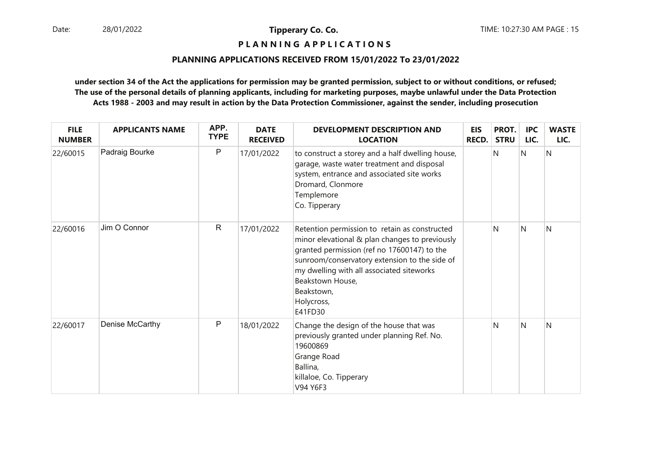### **P L A N N I N G A P P L I C A T I O N S**

#### **PLANNING APPLICATIONS RECEIVED FROM 15/01/2022 To 23/01/2022**

| <b>FILE</b><br><b>NUMBER</b> | <b>APPLICANTS NAME</b> | APP.<br><b>TYPE</b> | <b>DATE</b><br><b>RECEIVED</b> | <b>DEVELOPMENT DESCRIPTION AND</b><br><b>LOCATION</b>                                                                                                                                                                                                                                                   | <b>EIS</b><br><b>RECD.</b> | PROT.<br><b>STRU</b> | <b>IPC</b><br>LIC. | <b>WASTE</b><br>LIC. |
|------------------------------|------------------------|---------------------|--------------------------------|---------------------------------------------------------------------------------------------------------------------------------------------------------------------------------------------------------------------------------------------------------------------------------------------------------|----------------------------|----------------------|--------------------|----------------------|
| 22/60015                     | Padraig Bourke         | P                   | 17/01/2022                     | to construct a storey and a half dwelling house,<br>garage, waste water treatment and disposal<br>system, entrance and associated site works<br>Dromard, Clonmore<br>Templemore<br>Co. Tipperary                                                                                                        |                            | N                    | N                  | N                    |
| 22/60016                     | Jim O Connor           | $\mathsf{R}$        | 17/01/2022                     | Retention permission to retain as constructed<br>minor elevational & plan changes to previously<br>granted permission (ref no 17600147) to the<br>sunroom/conservatory extension to the side of<br>my dwelling with all associated siteworks<br>Beakstown House,<br>Beakstown,<br>Holycross,<br>E41FD30 |                            | N                    | N                  | N                    |
| 22/60017                     | Denise McCarthy        | P                   | 18/01/2022                     | Change the design of the house that was<br>previously granted under planning Ref. No.<br>19600869<br>Grange Road<br>Ballina,<br>killaloe, Co. Tipperary<br>V94 Y6F3                                                                                                                                     |                            | N                    | N                  | N                    |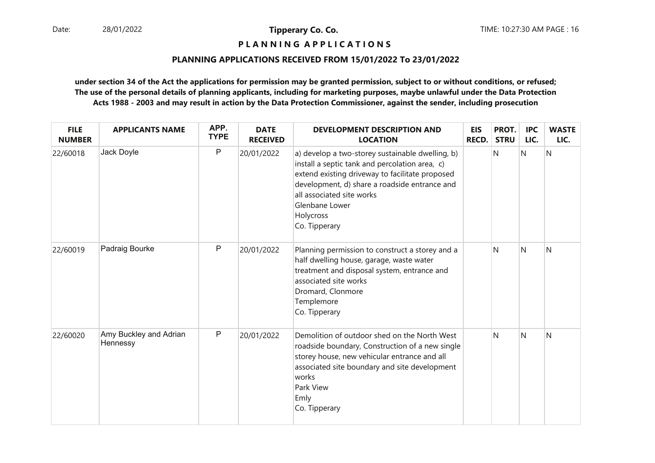### **P L A N N I N G A P P L I C A T I O N S**

#### **PLANNING APPLICATIONS RECEIVED FROM 15/01/2022 To 23/01/2022**

| <b>FILE</b><br><b>NUMBER</b> | <b>APPLICANTS NAME</b>             | APP.<br><b>TYPE</b> | <b>DATE</b><br><b>RECEIVED</b> | <b>DEVELOPMENT DESCRIPTION AND</b><br><b>LOCATION</b>                                                                                                                                                                                                                               | <b>EIS</b><br><b>RECD.</b> | PROT.<br><b>STRU</b> | <b>IPC</b><br>LIC. | <b>WASTE</b><br>LIC. |
|------------------------------|------------------------------------|---------------------|--------------------------------|-------------------------------------------------------------------------------------------------------------------------------------------------------------------------------------------------------------------------------------------------------------------------------------|----------------------------|----------------------|--------------------|----------------------|
| 22/60018                     | Jack Doyle                         | P                   | 20/01/2022                     | a) develop a two-storey sustainable dwelling, b)<br>install a septic tank and percolation area, c)<br>extend existing driveway to facilitate proposed<br>development, d) share a roadside entrance and<br>all associated site works<br>Glenbane Lower<br>Holycross<br>Co. Tipperary |                            | N                    | N                  | N                    |
| 22/60019                     | Padraig Bourke                     | P                   | 20/01/2022                     | Planning permission to construct a storey and a<br>half dwelling house, garage, waste water<br>treatment and disposal system, entrance and<br>associated site works<br>Dromard, Clonmore<br>Templemore<br>Co. Tipperary                                                             |                            | N                    | <sup>N</sup>       | N                    |
| 22/60020                     | Amy Buckley and Adrian<br>Hennessy | P                   | 20/01/2022                     | Demolition of outdoor shed on the North West<br>roadside boundary, Construction of a new single<br>storey house, new vehicular entrance and all<br>associated site boundary and site development<br>works<br>Park View<br>Emly<br>Co. Tipperary                                     |                            | N                    | N                  | N                    |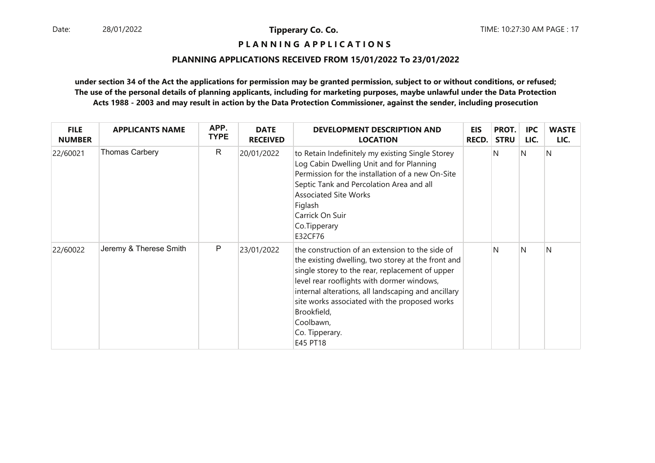### **P L A N N I N G A P P L I C A T I O N S**

#### **PLANNING APPLICATIONS RECEIVED FROM 15/01/2022 To 23/01/2022**

| <b>FILE</b><br><b>NUMBER</b> | <b>APPLICANTS NAME</b> | APP.<br><b>TYPE</b> | <b>DATE</b><br><b>RECEIVED</b> | <b>DEVELOPMENT DESCRIPTION AND</b><br><b>LOCATION</b>                                                                                                                                                                                                                                                                                                                    | <b>EIS</b><br><b>RECD.</b> | PROT.<br><b>STRU</b> | <b>IPC</b><br>LIC. | <b>WASTE</b><br>LIC. |
|------------------------------|------------------------|---------------------|--------------------------------|--------------------------------------------------------------------------------------------------------------------------------------------------------------------------------------------------------------------------------------------------------------------------------------------------------------------------------------------------------------------------|----------------------------|----------------------|--------------------|----------------------|
| 22/60021                     | <b>Thomas Carbery</b>  | R                   | 20/01/2022                     | to Retain Indefinitely my existing Single Storey<br>Log Cabin Dwelling Unit and for Planning<br>Permission for the installation of a new On-Site<br>Septic Tank and Percolation Area and all<br><b>Associated Site Works</b><br>Figlash<br>Carrick On Suir<br>Co.Tipperary<br>E32CF76                                                                                    |                            | N                    | N                  | IN.                  |
| 22/60022                     | Jeremy & Therese Smith | $\mathsf{P}$        | 23/01/2022                     | the construction of an extension to the side of<br>the existing dwelling, two storey at the front and<br>single storey to the rear, replacement of upper<br>level rear rooflights with dormer windows,<br>internal alterations, all landscaping and ancillary<br>site works associated with the proposed works<br>Brookfield,<br>Coolbawn,<br>Co. Tipperary.<br>E45 PT18 |                            | N                    | N                  | N                    |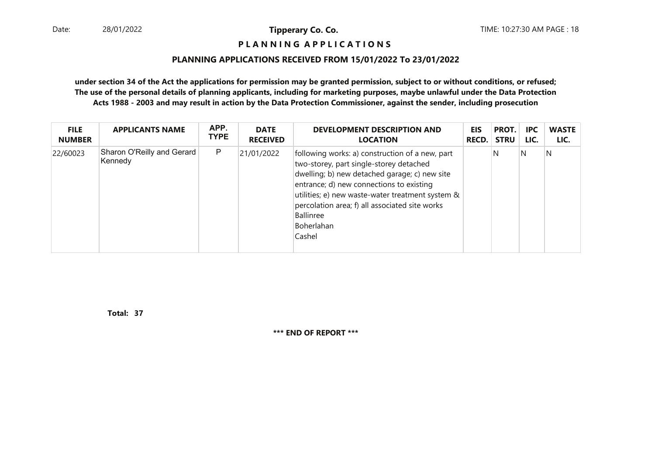#### **P L A N N I N G A P P L I C A T I O N S**

#### **PLANNING APPLICATIONS RECEIVED FROM 15/01/2022 To 23/01/2022**

**under section 34 of the Act the applications for permission may be granted permission, subject to or without conditions, or refused; The use of the personal details of planning applicants, including for marketing purposes, maybe unlawful under the Data ProtectionActs 1988 - 2003 and may result in action by the Data Protection Commissioner, against the sender, including prosecution**

| <b>FILE</b>   | <b>APPLICANTS NAME</b>                | APP. | <b>DATE</b>     | <b>DEVELOPMENT DESCRIPTION AND</b>                                                                                                                                                                                                                                                                                                 | <b>EIS</b>   | PROT.       | <b>IPC</b> | <b>WASTE</b> |
|---------------|---------------------------------------|------|-----------------|------------------------------------------------------------------------------------------------------------------------------------------------------------------------------------------------------------------------------------------------------------------------------------------------------------------------------------|--------------|-------------|------------|--------------|
| <b>NUMBER</b> |                                       | TYPE | <b>RECEIVED</b> | <b>LOCATION</b>                                                                                                                                                                                                                                                                                                                    | <b>RECD.</b> | <b>STRU</b> | LIC.       | LIC.         |
| 22/60023      | Sharon O'Reilly and Gerard<br>Kennedy | P    | 21/01/2022      | following works: a) construction of a new, part<br>two-storey, part single-storey detached<br>dwelling; b) new detached garage; c) new site<br>entrance; d) new connections to existing<br>utilities; e) new waste-water treatment system &<br>percolation area; f) all associated site works<br>Ballinree<br>Boherlahan<br>Cashel |              | N           | N          | N            |

**37Total:**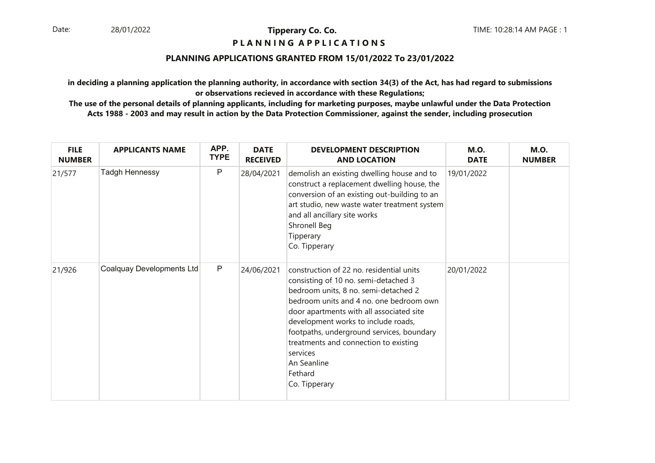### **P L A N N I N G A P P L I C A T I O N S**

#### **PLANNING APPLICATIONS GRANTED FROM 15/01/2022 To 23/01/2022**

**in deciding a planning application the planning authority, in accordance with section 34(3) of the Act, has had regard to submissionsor observations recieved in accordance with these Regulations;**

| <b>FILE</b><br><b>NUMBER</b> | <b>APPLICANTS NAME</b>    | APP.<br><b>TYPE</b> | <b>DATE</b><br><b>RECEIVED</b> | <b>DEVELOPMENT DESCRIPTION</b><br><b>AND LOCATION</b>                                                                                                                                                                                                                                                                                                                                               | <b>M.O.</b><br><b>DATE</b> | <b>M.O.</b><br><b>NUMBER</b> |
|------------------------------|---------------------------|---------------------|--------------------------------|-----------------------------------------------------------------------------------------------------------------------------------------------------------------------------------------------------------------------------------------------------------------------------------------------------------------------------------------------------------------------------------------------------|----------------------------|------------------------------|
| 21/577                       | Tadgh Hennessy            | P                   | 28/04/2021                     | demolish an existing dwelling house and to<br>construct a replacement dwelling house, the<br>conversion of an existing out-building to an<br>art studio, new waste water treatment system<br>and all ancillary site works<br>Shronell Beg<br>Tipperary<br>Co. Tipperary                                                                                                                             | 19/01/2022                 |                              |
| 21/926                       | Coalquay Developments Ltd | P                   | 24/06/2021                     | construction of 22 no. residential units<br>consisting of 10 no. semi-detached 3<br>bedroom units, 8 no. semi-detached 2<br>bedroom units and 4 no. one bedroom own<br>door apartments with all associated site<br>development works to include roads,<br>footpaths, underground services, boundary<br>treatments and connection to existing<br>services<br>An Seanline<br>Fethard<br>Co. Tipperary | 20/01/2022                 |                              |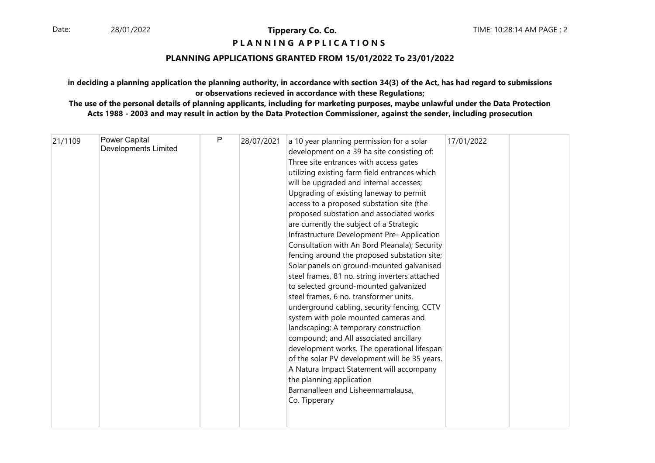# **P L A N N I N G A P P L I C A T I O N S**

### **PLANNING APPLICATIONS GRANTED FROM 15/01/2022 To 23/01/2022**

#### **in deciding a planning application the planning authority, in accordance with section 34(3) of the Act, has had regard to submissionsor observations recieved in accordance with these Regulations;**

| 21/1109 | Power Capital<br><b>Developments Limited</b> | P | 28/07/2021 | a 10 year planning permission for a solar<br>development on a 39 ha site consisting of:<br>Three site entrances with access gates<br>utilizing existing farm field entrances which<br>will be upgraded and internal accesses;<br>Upgrading of existing laneway to permit<br>access to a proposed substation site (the<br>proposed substation and associated works<br>are currently the subject of a Strategic<br>Infrastructure Development Pre- Application<br>Consultation with An Bord Pleanala); Security<br>fencing around the proposed substation site;<br>Solar panels on ground-mounted galvanised<br>steel frames, 81 no. string inverters attached<br>to selected ground-mounted galvanized<br>steel frames, 6 no. transformer units,<br>underground cabling, security fencing, CCTV<br>system with pole mounted cameras and<br>landscaping; A temporary construction<br>compound; and All associated ancillary<br>development works. The operational lifespan<br>of the solar PV development will be 35 years.<br>A Natura Impact Statement will accompany<br>the planning application | 17/01/2022 |  |
|---------|----------------------------------------------|---|------------|---------------------------------------------------------------------------------------------------------------------------------------------------------------------------------------------------------------------------------------------------------------------------------------------------------------------------------------------------------------------------------------------------------------------------------------------------------------------------------------------------------------------------------------------------------------------------------------------------------------------------------------------------------------------------------------------------------------------------------------------------------------------------------------------------------------------------------------------------------------------------------------------------------------------------------------------------------------------------------------------------------------------------------------------------------------------------------------------------|------------|--|
|         |                                              |   |            | Barnanalleen and Lisheennamalausa,<br>Co. Tipperary                                                                                                                                                                                                                                                                                                                                                                                                                                                                                                                                                                                                                                                                                                                                                                                                                                                                                                                                                                                                                                               |            |  |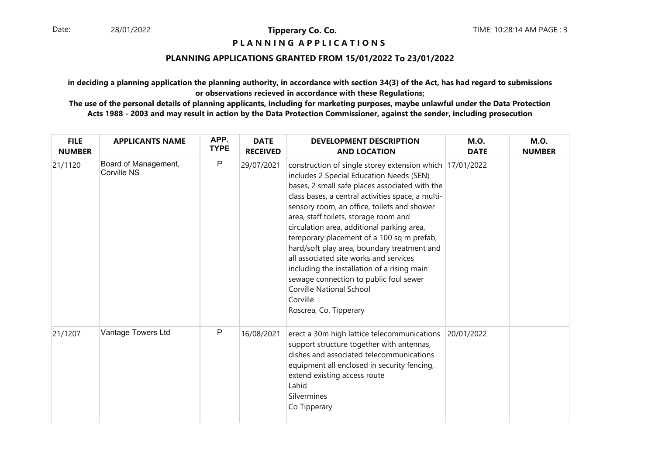#### **P L A N N I N G A P P L I C A T I O N S**

#### **PLANNING APPLICATIONS GRANTED FROM 15/01/2022 To 23/01/2022**

**in deciding a planning application the planning authority, in accordance with section 34(3) of the Act, has had regard to submissionsor observations recieved in accordance with these Regulations;**

| <b>FILE</b><br><b>NUMBER</b> | <b>APPLICANTS NAME</b>              | APP.<br><b>TYPE</b> | <b>DATE</b><br><b>RECEIVED</b> | <b>DEVELOPMENT DESCRIPTION</b><br><b>AND LOCATION</b>                                                                                                                                                                                                                                                                                                                                                                                                                                                                                                                                                                                                     | <b>M.O.</b><br><b>DATE</b> | <b>M.O.</b><br><b>NUMBER</b> |
|------------------------------|-------------------------------------|---------------------|--------------------------------|-----------------------------------------------------------------------------------------------------------------------------------------------------------------------------------------------------------------------------------------------------------------------------------------------------------------------------------------------------------------------------------------------------------------------------------------------------------------------------------------------------------------------------------------------------------------------------------------------------------------------------------------------------------|----------------------------|------------------------------|
| 21/1120                      | Board of Management,<br>Corville NS | P                   | 29/07/2021                     | construction of single storey extension which 17/01/2022<br>includes 2 Special Education Needs (SEN)<br>bases, 2 small safe places associated with the<br>class bases, a central activities space, a multi-<br>sensory room, an office, toilets and shower<br>area, staff toilets, storage room and<br>circulation area, additional parking area,<br>temporary placement of a 100 sq m prefab,<br>hard/soft play area, boundary treatment and<br>all associated site works and services<br>including the installation of a rising main<br>sewage connection to public foul sewer<br><b>Corville National School</b><br>Corville<br>Roscrea, Co. Tipperary |                            |                              |
| 21/1207                      | Vantage Towers Ltd                  | P                   | 16/08/2021                     | erect a 30m high lattice telecommunications<br>support structure together with antennas,<br>dishes and associated telecommunications<br>equipment all enclosed in security fencing,<br>extend existing access route<br>Lahid<br>Silvermines<br>Co Tipperary                                                                                                                                                                                                                                                                                                                                                                                               | 20/01/2022                 |                              |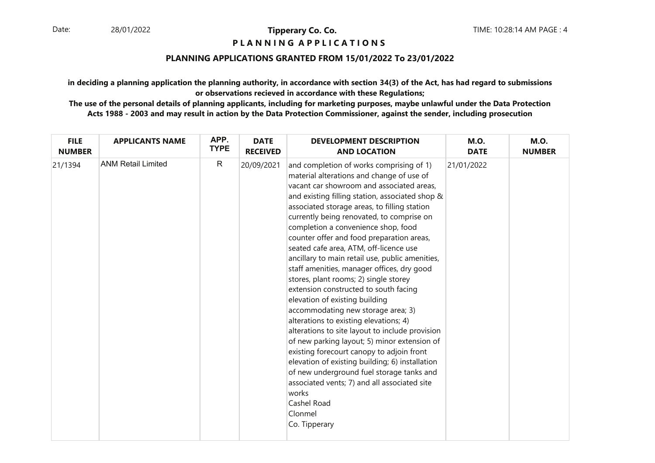#### **P L A N N I N G A P P L I C A T I O N S**

### **PLANNING APPLICATIONS GRANTED FROM 15/01/2022 To 23/01/2022**

**in deciding a planning application the planning authority, in accordance with section 34(3) of the Act, has had regard to submissionsor observations recieved in accordance with these Regulations;**

| <b>FILE</b>   | <b>APPLICANTS NAME</b>    | APP.         | <b>DATE</b>     | <b>DEVELOPMENT DESCRIPTION</b>                                                                                                                                                                                                                                                                                                                                                                                                                                                                                                                                                                                                                                                                                                                                                                                                                                                                                                                                                                                                                                            | <b>M.O.</b> | <b>M.O.</b>   |
|---------------|---------------------------|--------------|-----------------|---------------------------------------------------------------------------------------------------------------------------------------------------------------------------------------------------------------------------------------------------------------------------------------------------------------------------------------------------------------------------------------------------------------------------------------------------------------------------------------------------------------------------------------------------------------------------------------------------------------------------------------------------------------------------------------------------------------------------------------------------------------------------------------------------------------------------------------------------------------------------------------------------------------------------------------------------------------------------------------------------------------------------------------------------------------------------|-------------|---------------|
| <b>NUMBER</b> |                           | <b>TYPE</b>  | <b>RECEIVED</b> | <b>AND LOCATION</b>                                                                                                                                                                                                                                                                                                                                                                                                                                                                                                                                                                                                                                                                                                                                                                                                                                                                                                                                                                                                                                                       | <b>DATE</b> | <b>NUMBER</b> |
| 21/1394       | <b>ANM Retail Limited</b> | $\mathsf{R}$ | 20/09/2021      | and completion of works comprising of 1)<br>material alterations and change of use of<br>vacant car showroom and associated areas,<br>and existing filling station, associated shop &<br>associated storage areas, to filling station<br>currently being renovated, to comprise on<br>completion a convenience shop, food<br>counter offer and food preparation areas,<br>seated cafe area, ATM, off-licence use<br>ancillary to main retail use, public amenities,<br>staff amenities, manager offices, dry good<br>stores, plant rooms; 2) single storey<br>extension constructed to south facing<br>elevation of existing building<br>accommodating new storage area; 3)<br>alterations to existing elevations; 4)<br>alterations to site layout to include provision<br>of new parking layout; 5) minor extension of<br>existing forecourt canopy to adjoin front<br>elevation of existing building; 6) installation<br>of new underground fuel storage tanks and<br>associated vents; 7) and all associated site<br>works<br>Cashel Road<br>Clonmel<br>Co. Tipperary | 21/01/2022  |               |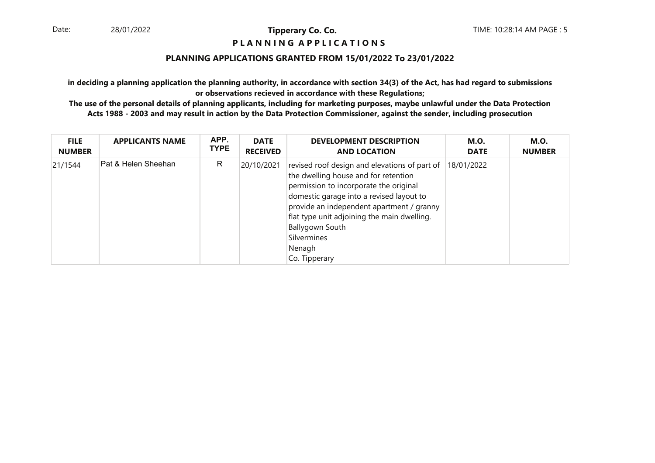### **P L A N N I N G A P P L I C A T I O N S**

#### **PLANNING APPLICATIONS GRANTED FROM 15/01/2022 To 23/01/2022**

**in deciding a planning application the planning authority, in accordance with section 34(3) of the Act, has had regard to submissionsor observations recieved in accordance with these Regulations;**

| <b>FILE</b><br><b>NUMBER</b> | <b>APPLICANTS NAME</b> | APP.<br><b>TYPE</b> | <b>DATE</b><br><b>RECEIVED</b> | <b>DEVELOPMENT DESCRIPTION</b><br><b>AND LOCATION</b>                                                                                                                                                                                                                                                                                | <b>M.O.</b><br><b>DATE</b> | <b>M.O.</b><br><b>NUMBER</b> |
|------------------------------|------------------------|---------------------|--------------------------------|--------------------------------------------------------------------------------------------------------------------------------------------------------------------------------------------------------------------------------------------------------------------------------------------------------------------------------------|----------------------------|------------------------------|
| 21/1544                      | Pat & Helen Sheehan    | R                   | 20/10/2021                     | revised roof design and elevations of part of<br>the dwelling house and for retention<br>permission to incorporate the original<br>domestic garage into a revised layout to<br>provide an independent apartment / granny<br>flat type unit adjoining the main dwelling.<br>Ballygown South<br>Silvermines<br>Nenagh<br>Co. Tipperary | 18/01/2022                 |                              |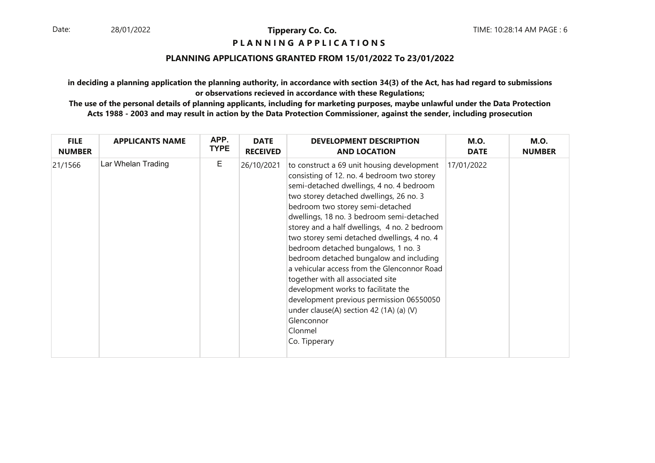#### **P L A N N I N G A P P L I C A T I O N S**

#### **PLANNING APPLICATIONS GRANTED FROM 15/01/2022 To 23/01/2022**

**in deciding a planning application the planning authority, in accordance with section 34(3) of the Act, has had regard to submissionsor observations recieved in accordance with these Regulations;**

| <b>FILE</b>   | <b>APPLICANTS NAME</b> | APP.        | <b>DATE</b>     | <b>DEVELOPMENT DESCRIPTION</b>                                                                                                                                                                                                                                                                                                                                                                                                                                                                                                                                                                                                                                                                                | <b>M.O.</b> | <b>M.O.</b>   |
|---------------|------------------------|-------------|-----------------|---------------------------------------------------------------------------------------------------------------------------------------------------------------------------------------------------------------------------------------------------------------------------------------------------------------------------------------------------------------------------------------------------------------------------------------------------------------------------------------------------------------------------------------------------------------------------------------------------------------------------------------------------------------------------------------------------------------|-------------|---------------|
| <b>NUMBER</b> |                        | <b>TYPE</b> | <b>RECEIVED</b> | <b>AND LOCATION</b>                                                                                                                                                                                                                                                                                                                                                                                                                                                                                                                                                                                                                                                                                           | <b>DATE</b> | <b>NUMBER</b> |
| 21/1566       | Lar Whelan Trading     | Е           | 26/10/2021      | to construct a 69 unit housing development<br>consisting of 12. no. 4 bedroom two storey<br>semi-detached dwellings, 4 no. 4 bedroom<br>two storey detached dwellings, 26 no. 3<br>bedroom two storey semi-detached<br>dwellings, 18 no. 3 bedroom semi-detached<br>storey and a half dwellings, 4 no. 2 bedroom<br>two storey semi detached dwellings, 4 no. 4<br>bedroom detached bungalows, 1 no. 3<br>bedroom detached bungalow and including<br>a vehicular access from the Glenconnor Road<br>together with all associated site<br>development works to facilitate the<br>development previous permission 06550050<br>under clause(A) section 42 (1A) (a) (V)<br>Glenconnor<br>Clonmel<br>Co. Tipperary | 17/01/2022  |               |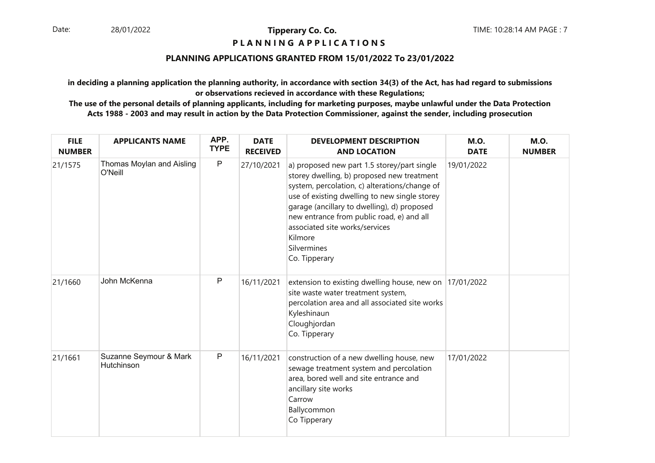#### **P L A N N I N G A P P L I C A T I O N S**

### **PLANNING APPLICATIONS GRANTED FROM 15/01/2022 To 23/01/2022**

**in deciding a planning application the planning authority, in accordance with section 34(3) of the Act, has had regard to submissionsor observations recieved in accordance with these Regulations;**

| <b>FILE</b><br><b>NUMBER</b> | <b>APPLICANTS NAME</b>               | APP.<br><b>TYPE</b> | <b>DATE</b><br><b>RECEIVED</b> | <b>DEVELOPMENT DESCRIPTION</b><br><b>AND LOCATION</b>                                                                                                                                                                                                                                                                                                                | <b>M.O.</b><br><b>DATE</b> | <b>M.O.</b><br><b>NUMBER</b> |
|------------------------------|--------------------------------------|---------------------|--------------------------------|----------------------------------------------------------------------------------------------------------------------------------------------------------------------------------------------------------------------------------------------------------------------------------------------------------------------------------------------------------------------|----------------------------|------------------------------|
| 21/1575                      | Thomas Moylan and Aisling<br>O'Neill | $\mathsf{P}$        | 27/10/2021                     | a) proposed new part 1.5 storey/part single<br>storey dwelling, b) proposed new treatment<br>system, percolation, c) alterations/change of<br>use of existing dwelling to new single storey<br>garage (ancillary to dwelling), d) proposed<br>new entrance from public road, e) and all<br>associated site works/services<br>Kilmore<br>Silvermines<br>Co. Tipperary | 19/01/2022                 |                              |
| 21/1660                      | John McKenna                         | P                   | 16/11/2021                     | extension to existing dwelling house, new on 17/01/2022<br>site waste water treatment system,<br>percolation area and all associated site works<br>Kyleshinaun<br>Cloughjordan<br>Co. Tipperary                                                                                                                                                                      |                            |                              |
| 21/1661                      | Suzanne Seymour & Mark<br>Hutchinson | ${\sf P}$           | 16/11/2021                     | construction of a new dwelling house, new<br>sewage treatment system and percolation<br>area, bored well and site entrance and<br>ancillary site works<br>Carrow<br>Ballycommon<br>Co Tipperary                                                                                                                                                                      | 17/01/2022                 |                              |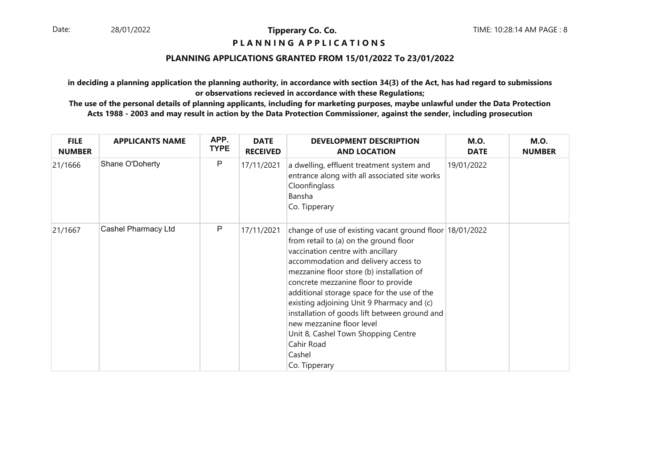#### **P L A N N I N G A P P L I C A T I O N S**

#### **PLANNING APPLICATIONS GRANTED FROM 15/01/2022 To 23/01/2022**

**in deciding a planning application the planning authority, in accordance with section 34(3) of the Act, has had regard to submissionsor observations recieved in accordance with these Regulations;**

| <b>FILE</b><br><b>NUMBER</b> | <b>APPLICANTS NAME</b> | APP.<br><b>TYPE</b> | <b>DATE</b><br><b>RECEIVED</b> | <b>DEVELOPMENT DESCRIPTION</b><br><b>AND LOCATION</b>                                                                                                                                                                                                                                                                                                                                                                                                                                                                          | <b>M.O.</b><br><b>DATE</b> | <b>M.O.</b><br><b>NUMBER</b> |
|------------------------------|------------------------|---------------------|--------------------------------|--------------------------------------------------------------------------------------------------------------------------------------------------------------------------------------------------------------------------------------------------------------------------------------------------------------------------------------------------------------------------------------------------------------------------------------------------------------------------------------------------------------------------------|----------------------------|------------------------------|
| 21/1666                      | Shane O'Doherty        | P                   | 17/11/2021                     | a dwelling, effluent treatment system and<br>entrance along with all associated site works<br>Cloonfinglass<br>Bansha<br>Co. Tipperary                                                                                                                                                                                                                                                                                                                                                                                         | 19/01/2022                 |                              |
| 21/1667                      | Cashel Pharmacy Ltd    | P                   | 17/11/2021                     | change of use of existing vacant ground floor 18/01/2022<br>from retail to (a) on the ground floor<br>vaccination centre with ancillary<br>accommodation and delivery access to<br>mezzanine floor store (b) installation of<br>concrete mezzanine floor to provide<br>additional storage space for the use of the<br>existing adjoining Unit 9 Pharmacy and (c)<br>installation of goods lift between ground and<br>new mezzanine floor level<br>Unit 8, Cashel Town Shopping Centre<br>Cahir Road<br>Cashel<br>Co. Tipperary |                            |                              |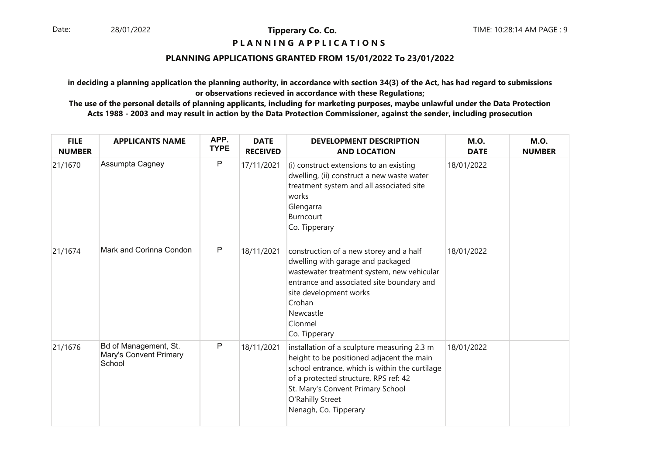#### **P L A N N I N G A P P L I C A T I O N S**

#### **PLANNING APPLICATIONS GRANTED FROM 15/01/2022 To 23/01/2022**

**in deciding a planning application the planning authority, in accordance with section 34(3) of the Act, has had regard to submissionsor observations recieved in accordance with these Regulations;**

| <b>FILE</b><br><b>NUMBER</b> | <b>APPLICANTS NAME</b>                                    | APP.<br><b>TYPE</b> | <b>DATE</b><br><b>RECEIVED</b> | <b>DEVELOPMENT DESCRIPTION</b><br><b>AND LOCATION</b>                                                                                                                                                                                                                 | <b>M.O.</b><br><b>DATE</b> | <b>M.O.</b><br><b>NUMBER</b> |
|------------------------------|-----------------------------------------------------------|---------------------|--------------------------------|-----------------------------------------------------------------------------------------------------------------------------------------------------------------------------------------------------------------------------------------------------------------------|----------------------------|------------------------------|
| 21/1670                      | Assumpta Cagney                                           | $\mathsf{P}$        | 17/11/2021                     | (i) construct extensions to an existing<br>dwelling, (ii) construct a new waste water<br>treatment system and all associated site<br>works<br>Glengarra<br>Burncourt<br>Co. Tipperary                                                                                 | 18/01/2022                 |                              |
| 21/1674                      | Mark and Corinna Condon                                   | $\mathsf{P}$        | 18/11/2021                     | construction of a new storey and a half<br>dwelling with garage and packaged<br>wastewater treatment system, new vehicular<br>entrance and associated site boundary and<br>site development works<br>Crohan<br>Newcastle<br>Clonmel<br>Co. Tipperary                  | 18/01/2022                 |                              |
| 21/1676                      | Bd of Management, St.<br>Mary's Convent Primary<br>School | $\mathsf{P}$        | 18/11/2021                     | installation of a sculpture measuring 2.3 m<br>height to be positioned adjacent the main<br>school entrance, which is within the curtilage<br>of a protected structure, RPS ref: 42<br>St. Mary's Convent Primary School<br>O'Rahilly Street<br>Nenagh, Co. Tipperary | 18/01/2022                 |                              |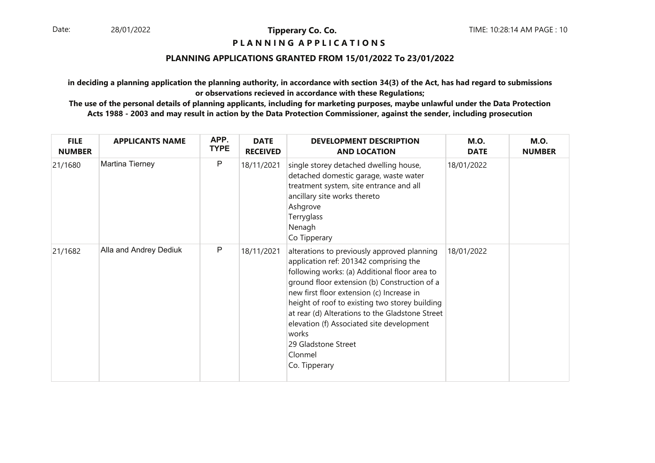#### **P L A N N I N G A P P L I C A T I O N S**

#### **PLANNING APPLICATIONS GRANTED FROM 15/01/2022 To 23/01/2022**

**in deciding a planning application the planning authority, in accordance with section 34(3) of the Act, has had regard to submissionsor observations recieved in accordance with these Regulations;**

| <b>FILE</b><br><b>NUMBER</b> | <b>APPLICANTS NAME</b> | APP.<br><b>TYPE</b> | <b>DATE</b><br><b>RECEIVED</b> | <b>DEVELOPMENT DESCRIPTION</b><br><b>AND LOCATION</b>                                                                                                                                                                                                                                                                                                                                                                                             | <b>M.O.</b><br><b>DATE</b> | <b>M.O.</b><br><b>NUMBER</b> |
|------------------------------|------------------------|---------------------|--------------------------------|---------------------------------------------------------------------------------------------------------------------------------------------------------------------------------------------------------------------------------------------------------------------------------------------------------------------------------------------------------------------------------------------------------------------------------------------------|----------------------------|------------------------------|
| 21/1680                      | Martina Tierney        | P                   | 18/11/2021                     | single storey detached dwelling house,<br>detached domestic garage, waste water<br>treatment system, site entrance and all<br>ancillary site works thereto<br>Ashgrove<br>Terryglass<br>Nenagh<br>Co Tipperary                                                                                                                                                                                                                                    | 18/01/2022                 |                              |
| 21/1682                      | Alla and Andrey Dediuk | P                   | 18/11/2021                     | alterations to previously approved planning<br>application ref: 201342 comprising the<br>following works: (a) Additional floor area to<br>ground floor extension (b) Construction of a<br>new first floor extension (c) Increase in<br>height of roof to existing two storey building<br>at rear (d) Alterations to the Gladstone Street<br>elevation (f) Associated site development<br>works<br>29 Gladstone Street<br>Clonmel<br>Co. Tipperary | 18/01/2022                 |                              |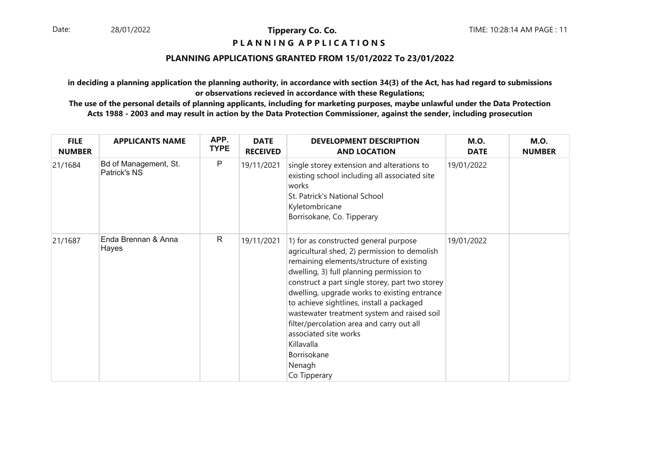#### **P L A N N I N G A P P L I C A T I O N S**

#### **PLANNING APPLICATIONS GRANTED FROM 15/01/2022 To 23/01/2022**

**in deciding a planning application the planning authority, in accordance with section 34(3) of the Act, has had regard to submissionsor observations recieved in accordance with these Regulations;**

| <b>FILE</b><br><b>NUMBER</b> | <b>APPLICANTS NAME</b>                | APP.<br><b>TYPE</b> | <b>DATE</b><br><b>RECEIVED</b> | <b>DEVELOPMENT DESCRIPTION</b><br><b>AND LOCATION</b>                                                                                                                                                                                                                                                                                                                                                                                                                                                     | <b>M.O.</b><br><b>DATE</b> | <b>M.O.</b><br><b>NUMBER</b> |
|------------------------------|---------------------------------------|---------------------|--------------------------------|-----------------------------------------------------------------------------------------------------------------------------------------------------------------------------------------------------------------------------------------------------------------------------------------------------------------------------------------------------------------------------------------------------------------------------------------------------------------------------------------------------------|----------------------------|------------------------------|
| 21/1684                      | Bd of Management, St.<br>Patrick's NS | P                   | 19/11/2021                     | single storey extension and alterations to<br>existing school including all associated site<br>works<br>St. Patrick's National School<br>Kyletombricane<br>Borrisokane, Co. Tipperary                                                                                                                                                                                                                                                                                                                     | 19/01/2022                 |                              |
| 21/1687                      | Enda Brennan & Anna<br>Hayes          | $\mathsf{R}$        | 19/11/2021                     | 1) for as constructed general purpose<br>agricultural shed, 2) permission to demolish<br>remaining elements/structure of existing<br>dwelling, 3) full planning permission to<br>construct a part single storey, part two storey<br>dwelling, upgrade works to existing entrance<br>to achieve sightlines, install a packaged<br>wastewater treatment system and raised soil<br>filter/percolation area and carry out all<br>associated site works<br>Killavalla<br>Borrisokane<br>Nenagh<br>Co Tipperary | 19/01/2022                 |                              |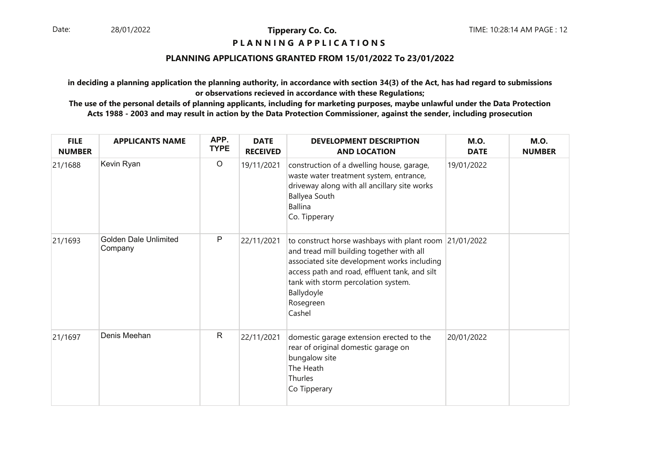#### **P L A N N I N G A P P L I C A T I O N S**

#### **PLANNING APPLICATIONS GRANTED FROM 15/01/2022 To 23/01/2022**

**in deciding a planning application the planning authority, in accordance with section 34(3) of the Act, has had regard to submissionsor observations recieved in accordance with these Regulations;**

| <b>FILE</b><br><b>NUMBER</b> | <b>APPLICANTS NAME</b>           | APP.<br><b>TYPE</b> | <b>DATE</b><br><b>RECEIVED</b> | <b>DEVELOPMENT DESCRIPTION</b><br><b>AND LOCATION</b>                                                                                                                                                                                                                           | <b>M.O.</b><br><b>DATE</b> | <b>M.O.</b><br><b>NUMBER</b> |
|------------------------------|----------------------------------|---------------------|--------------------------------|---------------------------------------------------------------------------------------------------------------------------------------------------------------------------------------------------------------------------------------------------------------------------------|----------------------------|------------------------------|
| 21/1688                      | Kevin Ryan                       | $\circ$             | 19/11/2021                     | construction of a dwelling house, garage,<br>waste water treatment system, entrance,<br>driveway along with all ancillary site works<br><b>Ballyea South</b><br><b>Ballina</b><br>Co. Tipperary                                                                                 | 19/01/2022                 |                              |
| 21/1693                      | Golden Dale Unlimited<br>Company | P                   | 22/11/2021                     | to construct horse washbays with plant room 21/01/2022<br>and tread mill building together with all<br>associated site development works including<br>access path and road, effluent tank, and silt<br>tank with storm percolation system.<br>Ballydoyle<br>Rosegreen<br>Cashel |                            |                              |
| 21/1697                      | Denis Meehan                     | $\mathsf{R}$        | 22/11/2021                     | domestic garage extension erected to the<br>rear of original domestic garage on<br>bungalow site<br>The Heath<br>Thurles<br>Co Tipperary                                                                                                                                        | 20/01/2022                 |                              |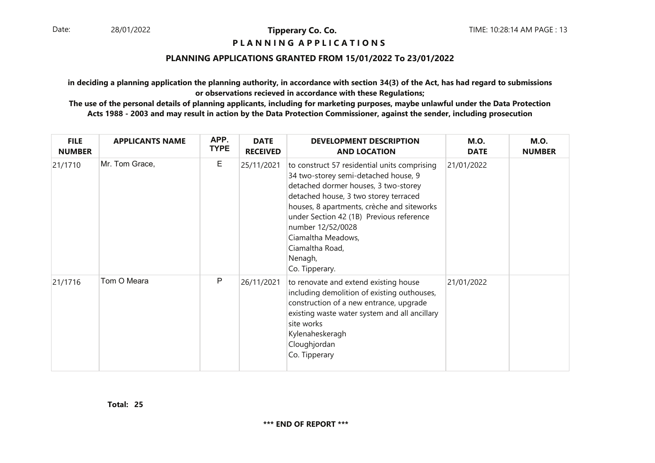#### **P L A N N I N G A P P L I C A T I O N S**

### **PLANNING APPLICATIONS GRANTED FROM 15/01/2022 To 23/01/2022**

**in deciding a planning application the planning authority, in accordance with section 34(3) of the Act, has had regard to submissionsor observations recieved in accordance with these Regulations;**

| <b>FILE</b><br><b>NUMBER</b> | <b>APPLICANTS NAME</b> | APP.<br><b>TYPE</b> | <b>DATE</b><br><b>RECEIVED</b> | <b>DEVELOPMENT DESCRIPTION</b><br><b>AND LOCATION</b>                                                                                                                                                                                                                                                                                                      | <b>M.O.</b><br><b>DATE</b> | <b>M.O.</b><br><b>NUMBER</b> |
|------------------------------|------------------------|---------------------|--------------------------------|------------------------------------------------------------------------------------------------------------------------------------------------------------------------------------------------------------------------------------------------------------------------------------------------------------------------------------------------------------|----------------------------|------------------------------|
| 21/1710                      | Mr. Tom Grace,         | Е                   | 25/11/2021                     | to construct 57 residential units comprising<br>34 two-storey semi-detached house, 9<br>detached dormer houses, 3 two-storey<br>detached house, 3 two storey terraced<br>houses, 8 apartments, crèche and siteworks<br>under Section 42 (1B) Previous reference<br>number 12/52/0028<br>Ciamaltha Meadows,<br>Ciamaltha Road,<br>Nenagh,<br>Co. Tipperary. | 21/01/2022                 |                              |
| 21/1716                      | Tom O Meara            | P                   | 26/11/2021                     | to renovate and extend existing house<br>including demolition of existing outhouses,<br>construction of a new entrance, upgrade<br>existing waste water system and all ancillary<br>site works<br>Kylenaheskeragh<br>Cloughjordan<br>Co. Tipperary                                                                                                         | 21/01/2022                 |                              |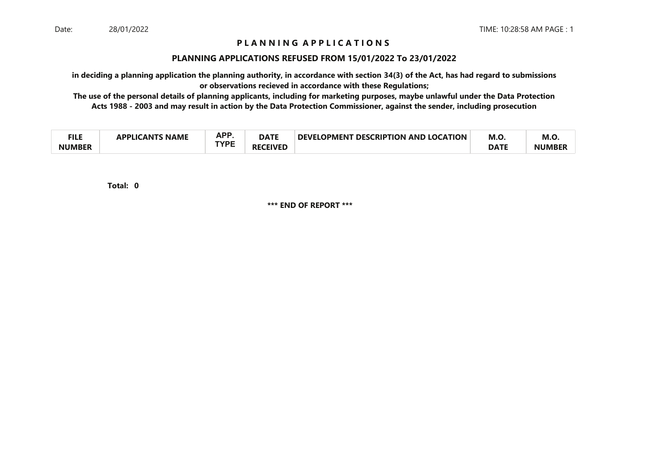### **P L A N N I N G A P P L I C A T I O N S**

#### **PLANNING APPLICATIONS REFUSED FROM 15/01/2022 To 23/01/2022**

**in deciding a planning application the planning authority, in accordance with section 34(3) of the Act, has had regard to submissionsor observations recieved in accordance with these Regulations;**

 **The use of the personal details of planning applicants, including for marketing purposes, maybe unlawful under the Data ProtectionActs 1988 - 2003 and may result in action by the Data Protection Commissioner, against the sender, including prosecution**

| ги с<br>−∎⊾⊾  | <b>NAME</b><br>21 Ι <i>Γ</i> ΔΝΤΚ<br><b>ADDI IC</b> | <b>APP</b><br>mі. | <b>DATE</b>         | <b>DEVELOPMENT</b><br><b>T DESCRIPTION AND LOCATION</b> | M.O         | M.O.          |
|---------------|-----------------------------------------------------|-------------------|---------------------|---------------------------------------------------------|-------------|---------------|
| <b>NUMBER</b> |                                                     | TVDC              | <b>CEIVED</b><br>RF |                                                         | <b>DATF</b> | <b>NUMBEI</b> |

**0Total:**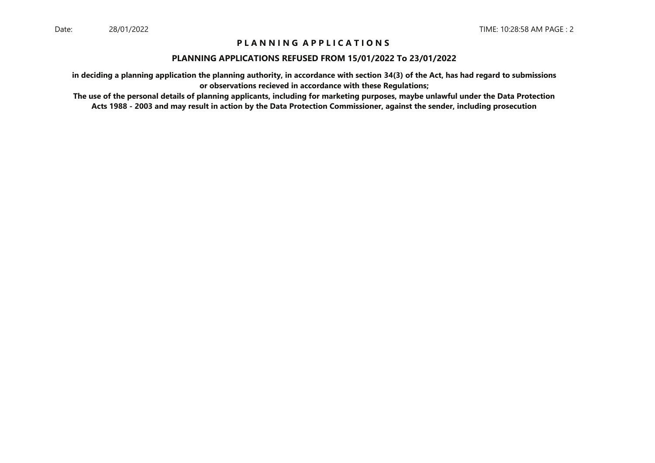### **P L A N N I N G A P P L I C A T I O N S**

#### **PLANNING APPLICATIONS REFUSED FROM 15/01/2022 To 23/01/2022**

**in deciding a planning application the planning authority, in accordance with section 34(3) of the Act, has had regard to submissionsor observations recieved in accordance with these Regulations;**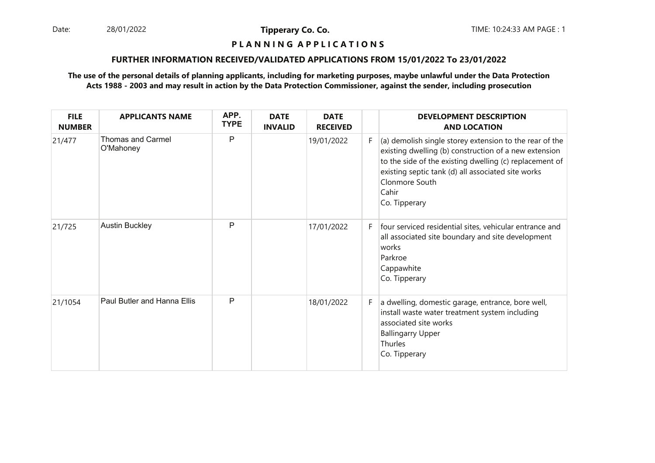Date: 28/01/2022 **Tipperary Co. Co. The Co. Co.** TIME: 10:24:33 AM PAGE : 1 28/01/2022

**Tipperary Co. Co.**

### **P L A N N I N G A P P L I C A T I O N S**

#### **FURTHER INFORMATION RECEIVED/VALIDATED APPLICATIONS FROM 15/01/2022 To 23/01/2022**

| <b>FILE</b><br><b>NUMBER</b> | <b>APPLICANTS NAME</b>                | APP.<br><b>TYPE</b> | <b>DATE</b><br><b>INVALID</b> | <b>DATE</b><br><b>RECEIVED</b> |    | <b>DEVELOPMENT DESCRIPTION</b><br><b>AND LOCATION</b>                                                                                                                                                                                                                         |
|------------------------------|---------------------------------------|---------------------|-------------------------------|--------------------------------|----|-------------------------------------------------------------------------------------------------------------------------------------------------------------------------------------------------------------------------------------------------------------------------------|
| 21/477                       | <b>Thomas and Carmel</b><br>O'Mahoney | P                   |                               | 19/01/2022                     | F. | (a) demolish single storey extension to the rear of the<br>existing dwelling (b) construction of a new extension<br>to the side of the existing dwelling (c) replacement of<br>existing septic tank (d) all associated site works<br>Clonmore South<br>Cahir<br>Co. Tipperary |
| 21/725                       | <b>Austin Buckley</b>                 | P                   |                               | 17/01/2022                     | F. | four serviced residential sites, vehicular entrance and<br>all associated site boundary and site development<br>works<br>Parkroe<br>Cappawhite<br>Co. Tipperary                                                                                                               |
| 21/1054                      | <b>Paul Butler and Hanna Ellis</b>    | P                   |                               | 18/01/2022                     | F. | a dwelling, domestic garage, entrance, bore well,<br>install waste water treatment system including<br>associated site works<br><b>Ballingarry Upper</b><br><b>Thurles</b><br>Co. Tipperary                                                                                   |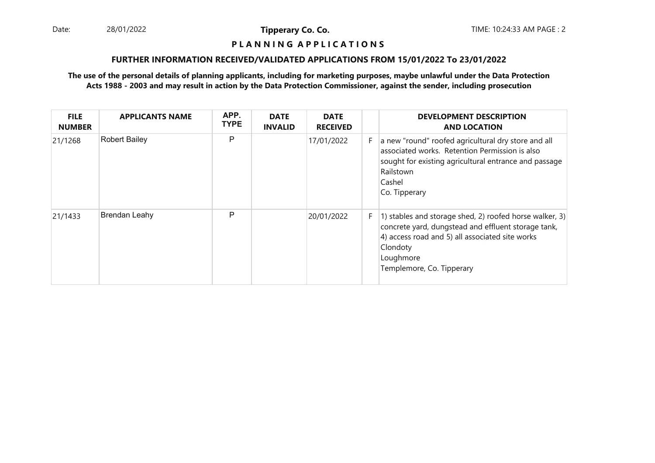Date: 28/01/2022 **Tipperary Co. Co. The Co. Co.** TIME: 10:24:33 AM PAGE : 2 28/01/2022

**Tipperary Co. Co.**

### **P L A N N I N G A P P L I C A T I O N S**

#### **FURTHER INFORMATION RECEIVED/VALIDATED APPLICATIONS FROM 15/01/2022 To 23/01/2022**

| <b>FILE</b><br><b>NUMBER</b> | <b>APPLICANTS NAME</b> | APP.<br><b>TYPE</b> | <b>DATE</b><br><b>INVALID</b> | <b>DATE</b><br><b>RECEIVED</b> |    | <b>DEVELOPMENT DESCRIPTION</b><br><b>AND LOCATION</b>                                                                                                                                                                   |
|------------------------------|------------------------|---------------------|-------------------------------|--------------------------------|----|-------------------------------------------------------------------------------------------------------------------------------------------------------------------------------------------------------------------------|
| 21/1268                      | <b>Robert Bailey</b>   | P                   |                               | 17/01/2022                     | F. | a new "round" roofed agricultural dry store and all<br>associated works. Retention Permission is also<br>sought for existing agricultural entrance and passage<br>Railstown<br>Cashel<br>Co. Tipperary                  |
| 21/1433                      | <b>Brendan Leahy</b>   | P                   |                               | 20/01/2022                     | F. | 1) stables and storage shed, 2) roofed horse walker, 3)<br>concrete yard, dungstead and effluent storage tank,<br>4) access road and 5) all associated site works<br>Clondoty<br>Loughmore<br>Templemore, Co. Tipperary |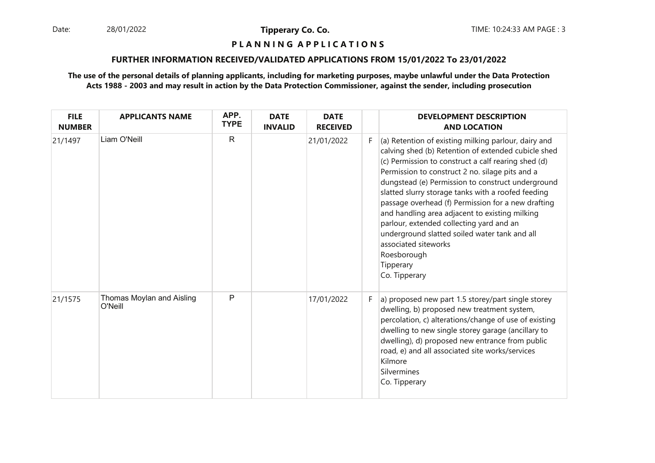28/01/2022

**Tipperary Co. Co.**

#### **P L A N N I N G A P P L I C A T I O N S**

#### **FURTHER INFORMATION RECEIVED/VALIDATED APPLICATIONS FROM 15/01/2022 To 23/01/2022**

| <b>FILE</b><br><b>NUMBER</b> | <b>APPLICANTS NAME</b>               | APP.<br><b>TYPE</b> | <b>DATE</b><br><b>INVALID</b> | <b>DATE</b><br><b>RECEIVED</b> |    | <b>DEVELOPMENT DESCRIPTION</b><br><b>AND LOCATION</b>                                                                                                                                                                                                                                                                                                                                                                                                                                                                                                                                                      |
|------------------------------|--------------------------------------|---------------------|-------------------------------|--------------------------------|----|------------------------------------------------------------------------------------------------------------------------------------------------------------------------------------------------------------------------------------------------------------------------------------------------------------------------------------------------------------------------------------------------------------------------------------------------------------------------------------------------------------------------------------------------------------------------------------------------------------|
| 21/1497                      | Liam O'Neill                         | $\mathsf{R}$        |                               | 21/01/2022                     | F. | (a) Retention of existing milking parlour, dairy and<br>calving shed (b) Retention of extended cubicle shed<br>(c) Permission to construct a calf rearing shed (d)<br>Permission to construct 2 no. silage pits and a<br>dungstead (e) Permission to construct underground<br>slatted slurry storage tanks with a roofed feeding<br>passage overhead (f) Permission for a new drafting<br>and handling area adjacent to existing milking<br>parlour, extended collecting yard and an<br>underground slatted soiled water tank and all<br>associated siteworks<br>Roesborough<br>Tipperary<br>Co. Tipperary |
| 21/1575                      | Thomas Moylan and Aisling<br>O'Neill | $\mathsf{P}$        |                               | 17/01/2022                     | F. | a) proposed new part 1.5 storey/part single storey<br>dwelling, b) proposed new treatment system,<br>percolation, c) alterations/change of use of existing<br>dwelling to new single storey garage (ancillary to<br>dwelling), d) proposed new entrance from public<br>road, e) and all associated site works/services<br>Kilmore<br>Silvermines<br>Co. Tipperary                                                                                                                                                                                                                                          |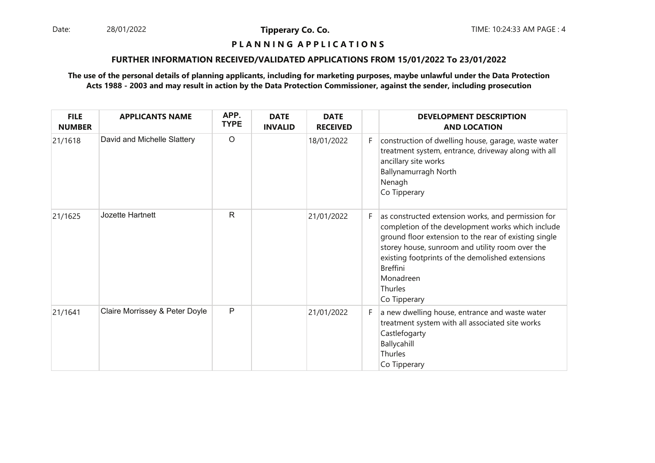Date: 28/01/2022 **Tipperary Co. Co. The Co. Co.** TIME: 10:24:33 AM PAGE : 4 28/01/2022

**Tipperary Co. Co.**

### **P L A N N I N G A P P L I C A T I O N S**

#### **FURTHER INFORMATION RECEIVED/VALIDATED APPLICATIONS FROM 15/01/2022 To 23/01/2022**

| <b>FILE</b><br><b>NUMBER</b> | <b>APPLICANTS NAME</b>         | APP.<br><b>TYPE</b> | <b>DATE</b><br><b>INVALID</b> | <b>DATE</b><br><b>RECEIVED</b> |    | <b>DEVELOPMENT DESCRIPTION</b><br><b>AND LOCATION</b>                                                                                                                                                                                                                                                                              |
|------------------------------|--------------------------------|---------------------|-------------------------------|--------------------------------|----|------------------------------------------------------------------------------------------------------------------------------------------------------------------------------------------------------------------------------------------------------------------------------------------------------------------------------------|
| 21/1618                      | David and Michelle Slattery    | $\circ$             |                               | 18/01/2022                     | F. | construction of dwelling house, garage, waste water<br>treatment system, entrance, driveway along with all<br>ancillary site works<br>Ballynamurragh North<br>Nenagh<br>Co Tipperary                                                                                                                                               |
| 21/1625                      | Jozette Hartnett               | R                   |                               | 21/01/2022                     | F. | as constructed extension works, and permission for<br>completion of the development works which include<br>ground floor extension to the rear of existing single<br>storey house, sunroom and utility room over the<br>existing footprints of the demolished extensions<br><b>Breffini</b><br>Monadreen<br>Thurles<br>Co Tipperary |
| 21/1641                      | Claire Morrissey & Peter Doyle | P                   |                               | 21/01/2022                     | F. | a new dwelling house, entrance and waste water<br>treatment system with all associated site works<br>Castlefogarty<br>Ballycahill<br>Thurles<br>Co Tipperary                                                                                                                                                                       |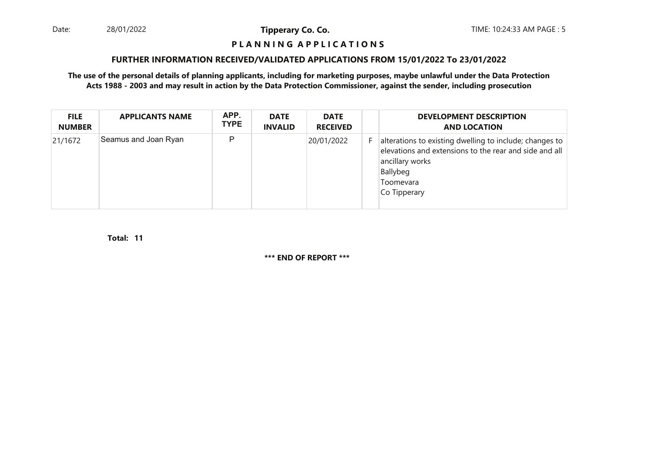28/01/2022

**Tipperary Co. Co.**

#### **P L A N N I N G A P P L I C A T I O N S**

#### **FURTHER INFORMATION RECEIVED/VALIDATED APPLICATIONS FROM 15/01/2022 To 23/01/2022**

**The use of the personal details of planning applicants, including for marketing purposes, maybe unlawful under the Data ProtectionActs 1988 - 2003 and may result in action by the Data Protection Commissioner, against the sender, including prosecution**

| <b>FILE</b><br><b>NUMBER</b> | <b>APPLICANTS NAME</b> | APP.<br><b>TYPE</b> | <b>DATE</b><br><b>INVALID</b> | <b>DATE</b><br><b>RECEIVED</b> | <b>DEVELOPMENT DESCRIPTION</b><br><b>AND LOCATION</b>                                                                                                                         |
|------------------------------|------------------------|---------------------|-------------------------------|--------------------------------|-------------------------------------------------------------------------------------------------------------------------------------------------------------------------------|
| 21/1672                      | Seamus and Joan Ryan   | P                   |                               | 20/01/2022                     | alterations to existing dwelling to include; changes to<br>elevations and extensions to the rear and side and all<br>ancillary works<br>Ballybeg<br>Toomevara<br>Co Tipperary |

**11Total:**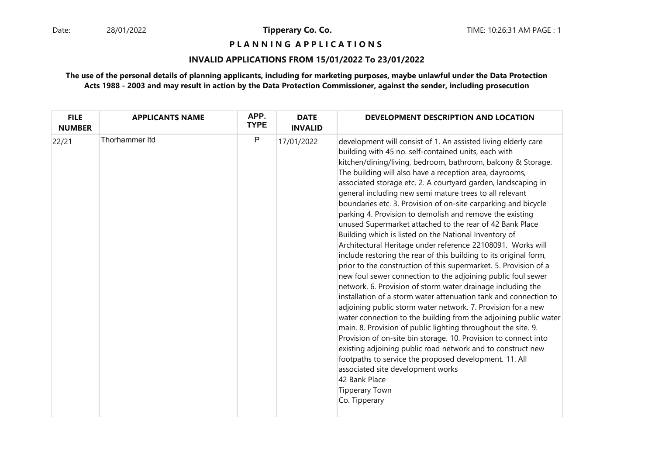**P L A N N I N G A P P L I C A T I O N S** 

#### **INVALID APPLICATIONS FROM 15/01/2022 To 23/01/2022**

| <b>FILE</b><br><b>NUMBER</b> | <b>APPLICANTS NAME</b> | APP.<br><b>TYPE</b> | <b>DATE</b><br><b>INVALID</b> | DEVELOPMENT DESCRIPTION AND LOCATION                                                                                                                                                                                                                                                                                                                                                                                                                                                                                                                                                                                                                                                                                                                                                                                                                                                                                                                                                                                                                                                                                                                                                                                                                                                                                                                                                                                                                                                                                                         |
|------------------------------|------------------------|---------------------|-------------------------------|----------------------------------------------------------------------------------------------------------------------------------------------------------------------------------------------------------------------------------------------------------------------------------------------------------------------------------------------------------------------------------------------------------------------------------------------------------------------------------------------------------------------------------------------------------------------------------------------------------------------------------------------------------------------------------------------------------------------------------------------------------------------------------------------------------------------------------------------------------------------------------------------------------------------------------------------------------------------------------------------------------------------------------------------------------------------------------------------------------------------------------------------------------------------------------------------------------------------------------------------------------------------------------------------------------------------------------------------------------------------------------------------------------------------------------------------------------------------------------------------------------------------------------------------|
| 22/21                        | Thorhammer Itd         | P                   | 17/01/2022                    | development will consist of 1. An assisted living elderly care<br>building with 45 no. self-contained units, each with<br>kitchen/dining/living, bedroom, bathroom, balcony & Storage.<br>The building will also have a reception area, dayrooms,<br>associated storage etc. 2. A courtyard garden, landscaping in<br>general including new semi mature trees to all relevant<br>boundaries etc. 3. Provision of on-site carparking and bicycle<br>parking 4. Provision to demolish and remove the existing<br>unused Supermarket attached to the rear of 42 Bank Place<br>Building which is listed on the National Inventory of<br>Architectural Heritage under reference 22108091. Works will<br>include restoring the rear of this building to its original form,<br>prior to the construction of this supermarket. 5. Provision of a<br>new foul sewer connection to the adjoining public foul sewer<br>network. 6. Provision of storm water drainage including the<br>installation of a storm water attenuation tank and connection to<br>adjoining public storm water network. 7. Provision for a new<br>water connection to the building from the adjoining public water<br>main. 8. Provision of public lighting throughout the site. 9.<br>Provision of on-site bin storage. 10. Provision to connect into<br>existing adjoining public road network and to construct new<br>footpaths to service the proposed development. 11. All<br>associated site development works<br>42 Bank Place<br><b>Tipperary Town</b><br>Co. Tipperary |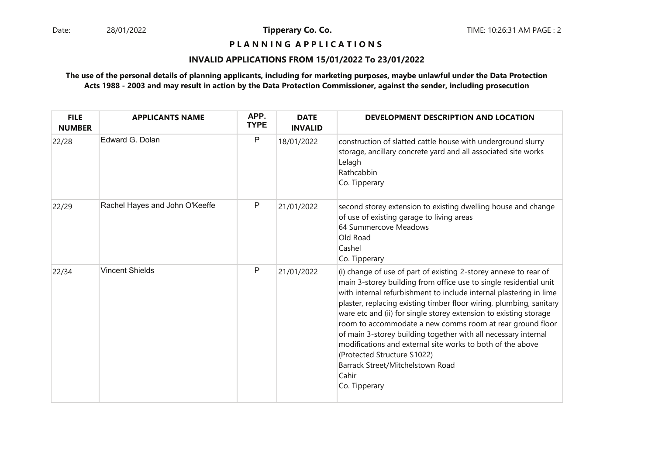### **P L A N N I N G A P P L I C A T I O N S**

#### **INVALID APPLICATIONS FROM 15/01/2022 To 23/01/2022**

| <b>FILE</b><br><b>NUMBER</b> | <b>APPLICANTS NAME</b>         | APP.<br><b>TYPE</b> | <b>DATE</b><br><b>INVALID</b> | DEVELOPMENT DESCRIPTION AND LOCATION                                                                                                                                                                                                                                                                                                                                                                                                                                                                                                                                                                                                              |
|------------------------------|--------------------------------|---------------------|-------------------------------|---------------------------------------------------------------------------------------------------------------------------------------------------------------------------------------------------------------------------------------------------------------------------------------------------------------------------------------------------------------------------------------------------------------------------------------------------------------------------------------------------------------------------------------------------------------------------------------------------------------------------------------------------|
| 22/28                        | Edward G. Dolan                | P                   | 18/01/2022                    | construction of slatted cattle house with underground slurry<br>storage, ancillary concrete yard and all associated site works<br>Lelagh<br>Rathcabbin<br>Co. Tipperary                                                                                                                                                                                                                                                                                                                                                                                                                                                                           |
| 22/29                        | Rachel Hayes and John O'Keeffe | P                   | 21/01/2022                    | second storey extension to existing dwelling house and change<br>of use of existing garage to living areas<br>64 Summercove Meadows<br>Old Road<br>Cashel<br>Co. Tipperary                                                                                                                                                                                                                                                                                                                                                                                                                                                                        |
| 22/34                        | <b>Vincent Shields</b>         | P                   | 21/01/2022                    | (i) change of use of part of existing 2-storey annexe to rear of<br>main 3-storey building from office use to single residential unit<br>with internal refurbishment to include internal plastering in lime<br>plaster, replacing existing timber floor wiring, plumbing, sanitary<br>ware etc and (ii) for single storey extension to existing storage<br>room to accommodate a new comms room at rear ground floor<br>of main 3-storey building together with all necessary internal<br>modifications and external site works to both of the above<br>(Protected Structure S1022)<br>Barrack Street/Mitchelstown Road<br>Cahir<br>Co. Tipperary |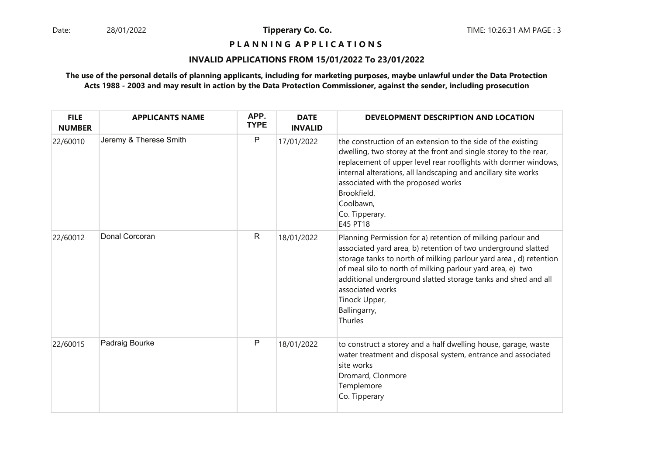**P L A N N I N G A P P L I C A T I O N S** 

#### **INVALID APPLICATIONS FROM 15/01/2022 To 23/01/2022**

| <b>FILE</b><br><b>NUMBER</b> | <b>APPLICANTS NAME</b> | APP.<br><b>TYPE</b> | <b>DATE</b><br><b>INVALID</b> | DEVELOPMENT DESCRIPTION AND LOCATION                                                                                                                                                                                                                                                                                                                                                             |
|------------------------------|------------------------|---------------------|-------------------------------|--------------------------------------------------------------------------------------------------------------------------------------------------------------------------------------------------------------------------------------------------------------------------------------------------------------------------------------------------------------------------------------------------|
| 22/60010                     | Jeremy & Therese Smith | $\mathsf{P}$        | 17/01/2022                    | the construction of an extension to the side of the existing<br>dwelling, two storey at the front and single storey to the rear,<br>replacement of upper level rear rooflights with dormer windows,<br>internal alterations, all landscaping and ancillary site works<br>associated with the proposed works<br>Brookfield,<br>Coolbawn,<br>Co. Tipperary.<br>E45 PT18                            |
| 22/60012                     | Donal Corcoran         | R                   | 18/01/2022                    | Planning Permission for a) retention of milking parlour and<br>associated yard area, b) retention of two underground slatted<br>storage tanks to north of milking parlour yard area, d) retention<br>of meal silo to north of milking parlour yard area, e) two<br>additional underground slatted storage tanks and shed and all<br>associated works<br>Tinock Upper,<br>Ballingarry,<br>Thurles |
| 22/60015                     | Padraig Bourke         | P                   | 18/01/2022                    | to construct a storey and a half dwelling house, garage, waste<br>water treatment and disposal system, entrance and associated<br>site works<br>Dromard, Clonmore<br>Templemore<br>Co. Tipperary                                                                                                                                                                                                 |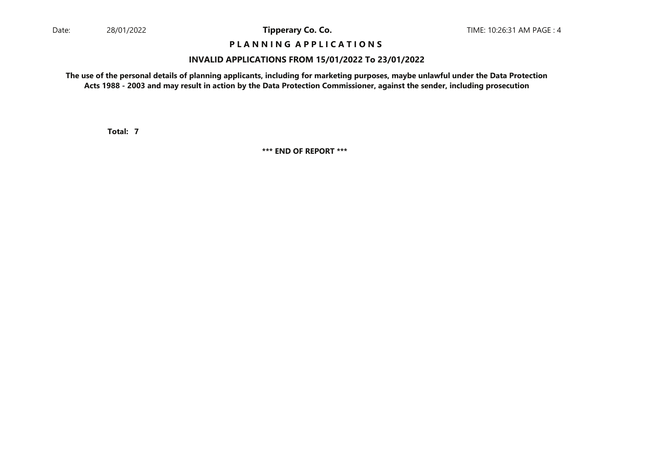### **P L A N N I N G A P P L I C A T I O N S**

#### **INVALID APPLICATIONS FROM 15/01/2022 To 23/01/2022**

**The use of the personal details of planning applicants, including for marketing purposes, maybe unlawful under the Data ProtectionActs 1988 - 2003 and may result in action by the Data Protection Commissioner, against the sender, including prosecution**

**7Total:**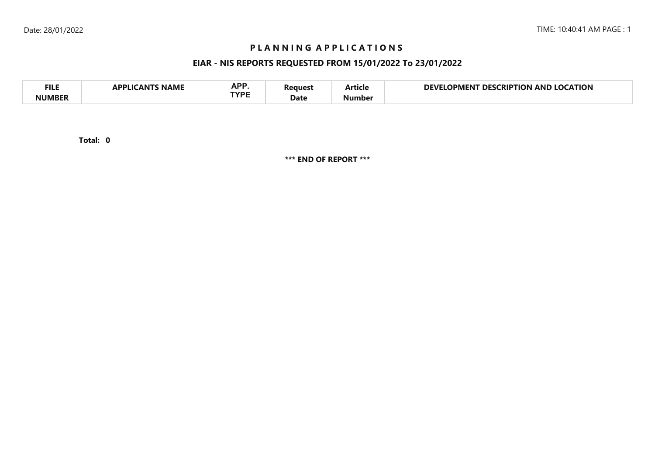### **P L A N N I N G A P P L I C A T I O N S**

### **EIAR - NIS REPORTS REQUESTED FROM 15/01/2022 To 23/01/2022**

| <b>FILE</b> | <b>NAME</b><br>A DDI IG<br>л NI | <b>ADD</b><br>NF I<br>TVDC | 'eaues' | - -<br>Article | <b>LOCATION</b><br>DEVI<br><b>LOCKIPTION</b><br>DES<br>OPMENT<br>AND |
|-------------|---------------------------------|----------------------------|---------|----------------|----------------------------------------------------------------------|
| NIIMRFR     |                                 |                            | Date    | Number         |                                                                      |

**0Total:**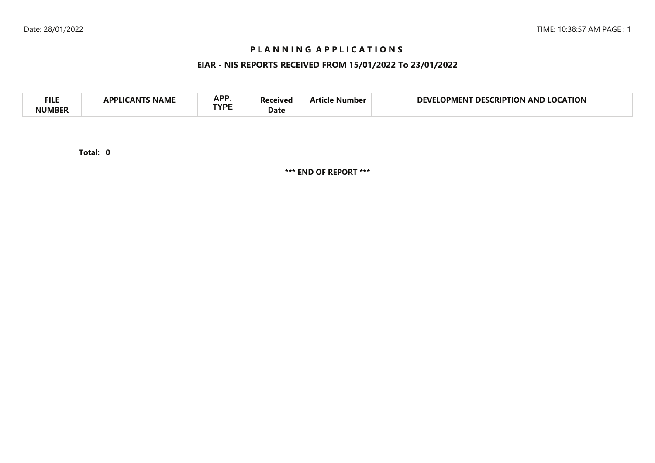### **P L A N N I N G A P P L I C A T I O N S**

### **EIAR - NIS REPORTS RECEIVED FROM 15/01/2022 To 23/01/2022**

| <b>APP</b><br><b>FILI</b><br><b>CATION</b><br>DEVI<br>AND<br>no<br>RIP.<br>ΓΙΩΝ<br>DES.<br>11701<br>Vumber<br>IPMEN I<br>NAML<br>TVDE<br>Date |  |
|-----------------------------------------------------------------------------------------------------------------------------------------------|--|
|-----------------------------------------------------------------------------------------------------------------------------------------------|--|

**0Total:**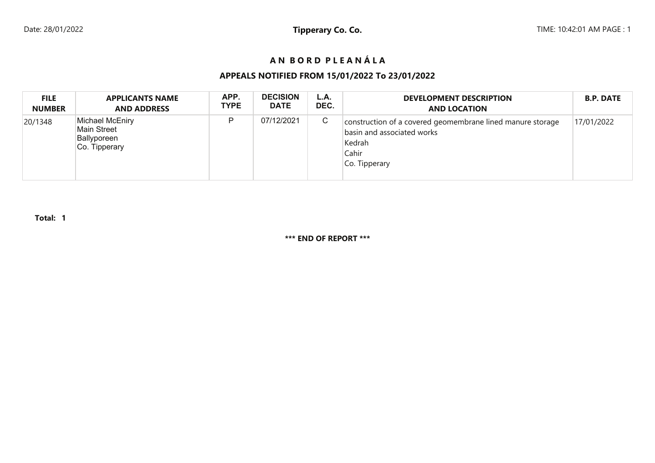# **A N B O R D P L E A N Á L A**

### **APPEALS NOTIFIED FROM 15/01/2022 To 23/01/2022**

| <b>FILE</b>   | <b>APPLICANTS NAME</b>                                         | APP.        | <b>DECISION</b> | L.A. | <b>DEVELOPMENT DESCRIPTION</b>                                                                                               | <b>B.P. DATE</b> |
|---------------|----------------------------------------------------------------|-------------|-----------------|------|------------------------------------------------------------------------------------------------------------------------------|------------------|
| <b>NUMBER</b> | <b>AND ADDRESS</b>                                             | <b>TYPE</b> | <b>DATE</b>     | DEC. | <b>AND LOCATION</b>                                                                                                          |                  |
| 20/1348       | Michael McEniry<br>Main Street<br>Ballyporeen<br>Co. Tipperary | D           | 07/12/2021      | C    | construction of a covered geomembrane lined manure storage<br>basin and associated works<br>Kedrah<br>Cahir<br>Co. Tipperary | 17/01/2022       |

**Total: 1**